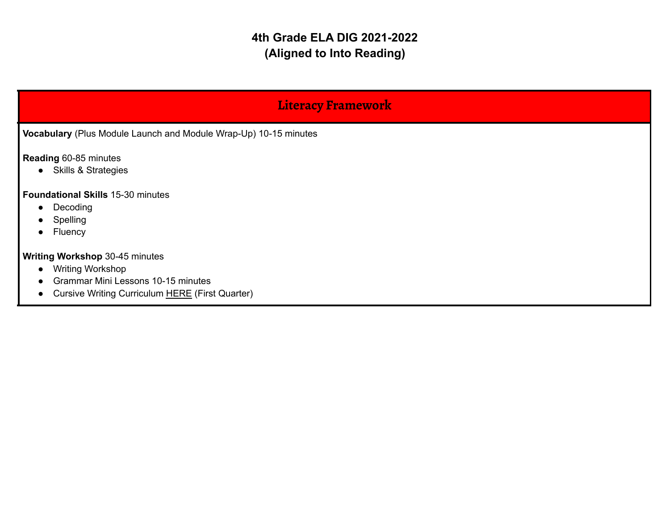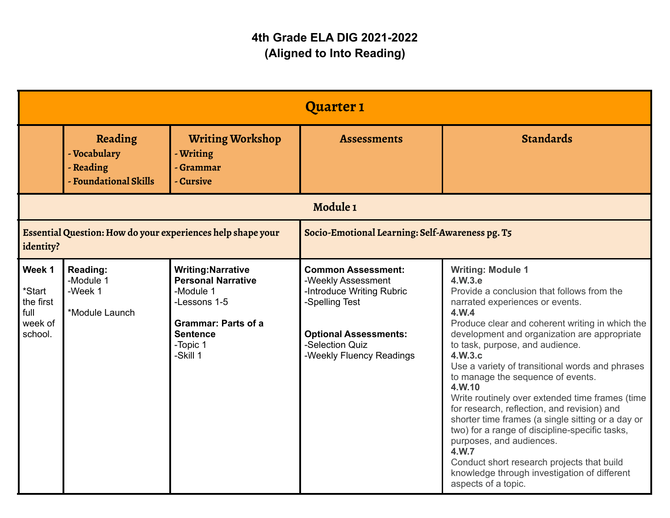|                                                                          |                                                               |                                                                                                                                                              | <b>Quarter 1</b>                                                                                                                                                              |                                                                                                                                                                                                                                                                                                                                                                                                                                                                                                                                                                                                                                                                                                                                                     |
|--------------------------------------------------------------------------|---------------------------------------------------------------|--------------------------------------------------------------------------------------------------------------------------------------------------------------|-------------------------------------------------------------------------------------------------------------------------------------------------------------------------------|-----------------------------------------------------------------------------------------------------------------------------------------------------------------------------------------------------------------------------------------------------------------------------------------------------------------------------------------------------------------------------------------------------------------------------------------------------------------------------------------------------------------------------------------------------------------------------------------------------------------------------------------------------------------------------------------------------------------------------------------------------|
|                                                                          | Reading<br>- Vocabulary<br>- Reading<br>- Foundational Skills | <b>Writing Workshop</b><br>- Writing<br>- Grammar<br>- Cursive                                                                                               | <b>Assessments</b>                                                                                                                                                            | <b>Standards</b>                                                                                                                                                                                                                                                                                                                                                                                                                                                                                                                                                                                                                                                                                                                                    |
|                                                                          |                                                               |                                                                                                                                                              | Module 1                                                                                                                                                                      |                                                                                                                                                                                                                                                                                                                                                                                                                                                                                                                                                                                                                                                                                                                                                     |
| Essential Question: How do your experiences help shape your<br>identity? |                                                               | Socio-Emotional Learning: Self-Awareness pg. T5                                                                                                              |                                                                                                                                                                               |                                                                                                                                                                                                                                                                                                                                                                                                                                                                                                                                                                                                                                                                                                                                                     |
| Week 1<br>*Start<br>the first<br>full<br>week of<br>school.              | Reading:<br>-Module 1<br>-Week 1<br>*Module Launch            | <b>Writing: Narrative</b><br><b>Personal Narrative</b><br>-Module 1<br>-Lessons 1-5<br><b>Grammar: Parts of a</b><br><b>Sentence</b><br>-Topic 1<br>-Skill 1 | <b>Common Assessment:</b><br>-Weekly Assessment<br>-Introduce Writing Rubric<br>-Spelling Test<br><b>Optional Assessments:</b><br>-Selection Quiz<br>-Weekly Fluency Readings | <b>Writing: Module 1</b><br>4.W.3.e<br>Provide a conclusion that follows from the<br>narrated experiences or events.<br>4.W.4<br>Produce clear and coherent writing in which the<br>development and organization are appropriate<br>to task, purpose, and audience.<br>4.W.3.c<br>Use a variety of transitional words and phrases<br>to manage the sequence of events.<br>4.W.10<br>Write routinely over extended time frames (time<br>for research, reflection, and revision) and<br>shorter time frames (a single sitting or a day or<br>two) for a range of discipline-specific tasks,<br>purposes, and audiences.<br>4.W.7<br>Conduct short research projects that build<br>knowledge through investigation of different<br>aspects of a topic. |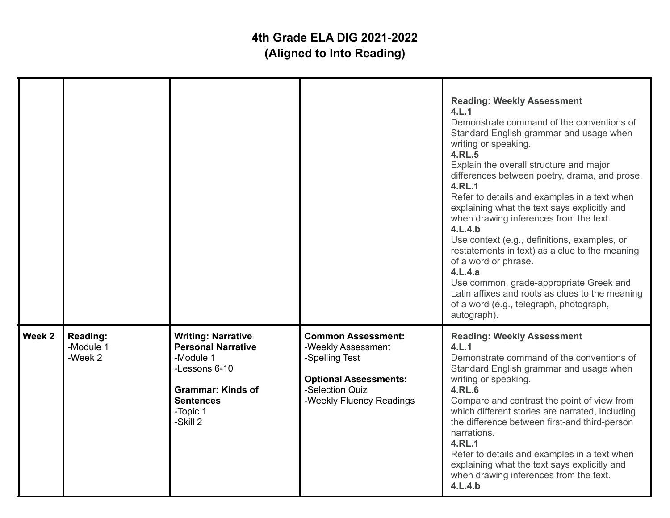|        |                                  |                                                                                                                                                              |                                                                                                                                                  | <b>Reading: Weekly Assessment</b><br>4.L.1<br>Demonstrate command of the conventions of<br>Standard English grammar and usage when<br>writing or speaking.<br><b>4.RL.5</b><br>Explain the overall structure and major<br>differences between poetry, drama, and prose.<br>4.RL.1<br>Refer to details and examples in a text when<br>explaining what the text says explicitly and<br>when drawing inferences from the text.<br>4.L.4.b<br>Use context (e.g., definitions, examples, or<br>restatements in text) as a clue to the meaning<br>of a word or phrase.<br>4.L.4.a<br>Use common, grade-appropriate Greek and<br>Latin affixes and roots as clues to the meaning<br>of a word (e.g., telegraph, photograph,<br>autograph). |
|--------|----------------------------------|--------------------------------------------------------------------------------------------------------------------------------------------------------------|--------------------------------------------------------------------------------------------------------------------------------------------------|-------------------------------------------------------------------------------------------------------------------------------------------------------------------------------------------------------------------------------------------------------------------------------------------------------------------------------------------------------------------------------------------------------------------------------------------------------------------------------------------------------------------------------------------------------------------------------------------------------------------------------------------------------------------------------------------------------------------------------------|
| Week 2 | Reading:<br>-Module 1<br>-Week 2 | <b>Writing: Narrative</b><br><b>Personal Narrative</b><br>-Module 1<br>-Lessons 6-10<br><b>Grammar: Kinds of</b><br><b>Sentences</b><br>-Topic 1<br>-Skill 2 | <b>Common Assessment:</b><br>-Weekly Assessment<br>-Spelling Test<br><b>Optional Assessments:</b><br>-Selection Quiz<br>-Weekly Fluency Readings | <b>Reading: Weekly Assessment</b><br>4.L.1<br>Demonstrate command of the conventions of<br>Standard English grammar and usage when<br>writing or speaking.<br>4.RL.6<br>Compare and contrast the point of view from<br>which different stories are narrated, including<br>the difference between first-and third-person<br>narrations.<br>4.RL.1<br>Refer to details and examples in a text when<br>explaining what the text says explicitly and<br>when drawing inferences from the text.<br>4.L.4.b                                                                                                                                                                                                                               |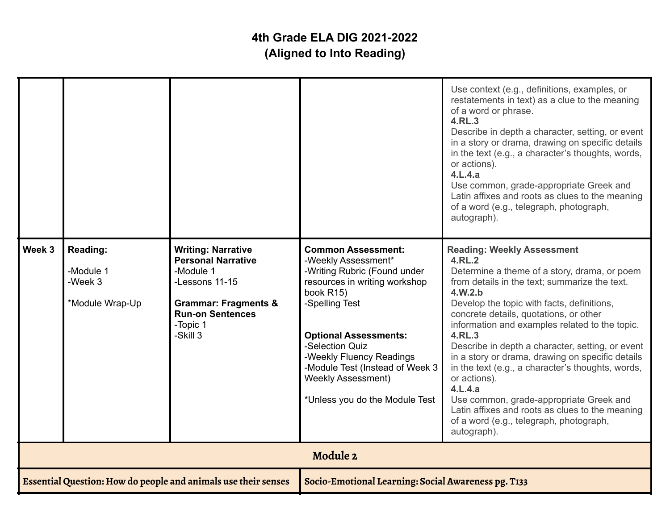|        |                                                            |                                                                                                                                                                             |                                                                                                                                                                                                                                                                                                                                   | Use context (e.g., definitions, examples, or<br>restatements in text) as a clue to the meaning<br>of a word or phrase.<br>4.RL.3<br>Describe in depth a character, setting, or event<br>in a story or drama, drawing on specific details<br>in the text (e.g., a character's thoughts, words,<br>or actions).<br>4.L.4.a<br>Use common, grade-appropriate Greek and<br>Latin affixes and roots as clues to the meaning<br>of a word (e.g., telegraph, photograph,<br>autograph).                                                                                                                                                                            |
|--------|------------------------------------------------------------|-----------------------------------------------------------------------------------------------------------------------------------------------------------------------------|-----------------------------------------------------------------------------------------------------------------------------------------------------------------------------------------------------------------------------------------------------------------------------------------------------------------------------------|-------------------------------------------------------------------------------------------------------------------------------------------------------------------------------------------------------------------------------------------------------------------------------------------------------------------------------------------------------------------------------------------------------------------------------------------------------------------------------------------------------------------------------------------------------------------------------------------------------------------------------------------------------------|
| Week 3 | <b>Reading:</b><br>-Module 1<br>-Week 3<br>*Module Wrap-Up | <b>Writing: Narrative</b><br><b>Personal Narrative</b><br>-Module 1<br>-Lessons 11-15<br><b>Grammar: Fragments &amp;</b><br><b>Run-on Sentences</b><br>-Topic 1<br>-Skill 3 | <b>Common Assessment:</b><br>-Weekly Assessment*<br>-Writing Rubric (Found under<br>resources in writing workshop<br>book R15)<br>-Spelling Test<br><b>Optional Assessments:</b><br>-Selection Quiz<br>-Weekly Fluency Readings<br>-Module Test (Instead of Week 3<br><b>Weekly Assessment)</b><br>*Unless you do the Module Test | <b>Reading: Weekly Assessment</b><br>4.RL.2<br>Determine a theme of a story, drama, or poem<br>from details in the text; summarize the text.<br>4.W.2.b<br>Develop the topic with facts, definitions,<br>concrete details, quotations, or other<br>information and examples related to the topic.<br>4.RL.3<br>Describe in depth a character, setting, or event<br>in a story or drama, drawing on specific details<br>in the text (e.g., a character's thoughts, words,<br>or actions).<br>4.L.4.a<br>Use common, grade-appropriate Greek and<br>Latin affixes and roots as clues to the meaning<br>of a word (e.g., telegraph, photograph,<br>autograph). |
|        |                                                            |                                                                                                                                                                             | Module 2                                                                                                                                                                                                                                                                                                                          |                                                                                                                                                                                                                                                                                                                                                                                                                                                                                                                                                                                                                                                             |
|        |                                                            | Essential Question: How do people and animals use their senses                                                                                                              | Socio-Emotional Learning: Social Awareness pg. T133                                                                                                                                                                                                                                                                               |                                                                                                                                                                                                                                                                                                                                                                                                                                                                                                                                                                                                                                                             |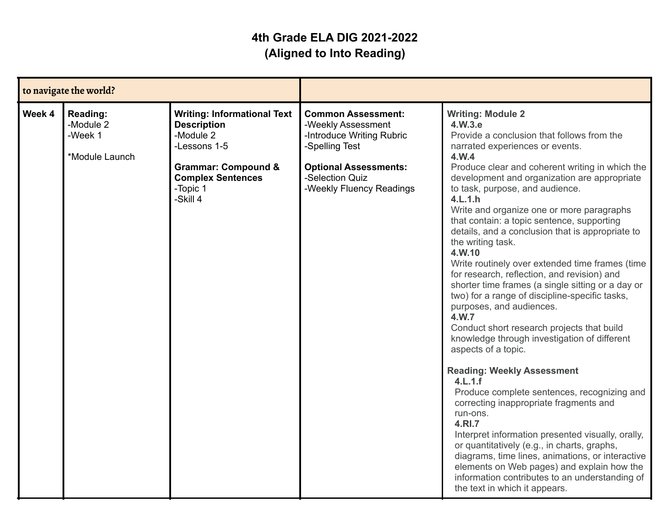| to navigate the world? |                                                           |                                                                                                                                                                             |                                                                                                                                                                               |                                                                                                                                                                                                                                                                                                                                                                                                                                                                                                                                                                                                                                                                                                                                                                                                                                                                                                                                                                                                                                                                                                                                                                                                                                                                                         |
|------------------------|-----------------------------------------------------------|-----------------------------------------------------------------------------------------------------------------------------------------------------------------------------|-------------------------------------------------------------------------------------------------------------------------------------------------------------------------------|-----------------------------------------------------------------------------------------------------------------------------------------------------------------------------------------------------------------------------------------------------------------------------------------------------------------------------------------------------------------------------------------------------------------------------------------------------------------------------------------------------------------------------------------------------------------------------------------------------------------------------------------------------------------------------------------------------------------------------------------------------------------------------------------------------------------------------------------------------------------------------------------------------------------------------------------------------------------------------------------------------------------------------------------------------------------------------------------------------------------------------------------------------------------------------------------------------------------------------------------------------------------------------------------|
| Week 4                 | <b>Reading:</b><br>-Module 2<br>-Week 1<br>*Module Launch | <b>Writing: Informational Text</b><br><b>Description</b><br>-Module 2<br>-Lessons 1-5<br><b>Grammar: Compound &amp;</b><br><b>Complex Sentences</b><br>-Topic 1<br>-Skill 4 | <b>Common Assessment:</b><br>-Weekly Assessment<br>-Introduce Writing Rubric<br>-Spelling Test<br><b>Optional Assessments:</b><br>-Selection Quiz<br>-Weekly Fluency Readings | <b>Writing: Module 2</b><br>4.W.3.e<br>Provide a conclusion that follows from the<br>narrated experiences or events.<br>4.W.4<br>Produce clear and coherent writing in which the<br>development and organization are appropriate<br>to task, purpose, and audience.<br>4.L.1.h<br>Write and organize one or more paragraphs<br>that contain: a topic sentence, supporting<br>details, and a conclusion that is appropriate to<br>the writing task.<br>4.W.10<br>Write routinely over extended time frames (time<br>for research, reflection, and revision) and<br>shorter time frames (a single sitting or a day or<br>two) for a range of discipline-specific tasks,<br>purposes, and audiences.<br>4.W.7<br>Conduct short research projects that build<br>knowledge through investigation of different<br>aspects of a topic.<br><b>Reading: Weekly Assessment</b><br>4.L.1.f<br>Produce complete sentences, recognizing and<br>correcting inappropriate fragments and<br>run-ons.<br>4.RI.7<br>Interpret information presented visually, orally,<br>or quantitatively (e.g., in charts, graphs,<br>diagrams, time lines, animations, or interactive<br>elements on Web pages) and explain how the<br>information contributes to an understanding of<br>the text in which it appears. |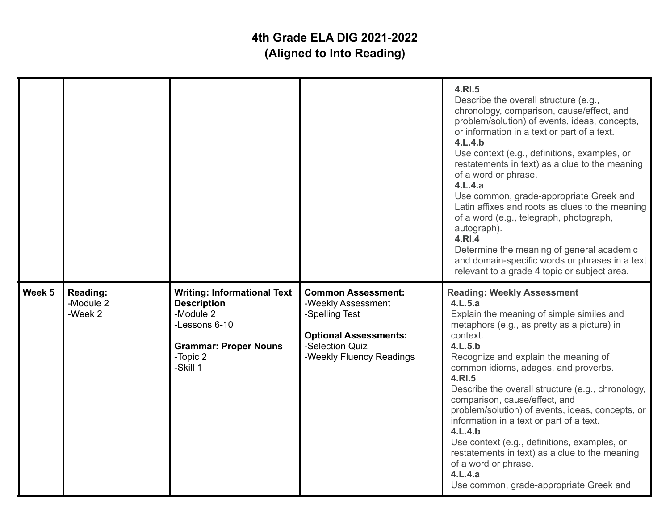|        |                                  |                                                                                                                                                |                                                                                                                                                  | 4.RI.5<br>Describe the overall structure (e.g.,<br>chronology, comparison, cause/effect, and<br>problem/solution) of events, ideas, concepts,<br>or information in a text or part of a text.<br>4.L.4.b<br>Use context (e.g., definitions, examples, or<br>restatements in text) as a clue to the meaning<br>of a word or phrase.<br>4.L.4.a<br>Use common, grade-appropriate Greek and<br>Latin affixes and roots as clues to the meaning<br>of a word (e.g., telegraph, photograph,<br>autograph).<br>4.RI.4<br>Determine the meaning of general academic<br>and domain-specific words or phrases in a text<br>relevant to a grade 4 topic or subject area. |
|--------|----------------------------------|------------------------------------------------------------------------------------------------------------------------------------------------|--------------------------------------------------------------------------------------------------------------------------------------------------|---------------------------------------------------------------------------------------------------------------------------------------------------------------------------------------------------------------------------------------------------------------------------------------------------------------------------------------------------------------------------------------------------------------------------------------------------------------------------------------------------------------------------------------------------------------------------------------------------------------------------------------------------------------|
| Week 5 | Reading:<br>-Module 2<br>-Week 2 | <b>Writing: Informational Text</b><br><b>Description</b><br>-Module 2<br>-Lessons 6-10<br><b>Grammar: Proper Nouns</b><br>-Topic 2<br>-Skill 1 | <b>Common Assessment:</b><br>-Weekly Assessment<br>-Spelling Test<br><b>Optional Assessments:</b><br>-Selection Quiz<br>-Weekly Fluency Readings | <b>Reading: Weekly Assessment</b><br>4.L.5.a<br>Explain the meaning of simple similes and<br>metaphors (e.g., as pretty as a picture) in<br>context.<br>4.L.5.b<br>Recognize and explain the meaning of<br>common idioms, adages, and proverbs.<br>4.RI.5<br>Describe the overall structure (e.g., chronology,<br>comparison, cause/effect, and<br>problem/solution) of events, ideas, concepts, or<br>information in a text or part of a text.<br>4.L.4.b<br>Use context (e.g., definitions, examples, or<br>restatements in text) as a clue to the meaning<br>of a word or phrase.<br>4.L.4.a<br>Use common, grade-appropriate Greek and                    |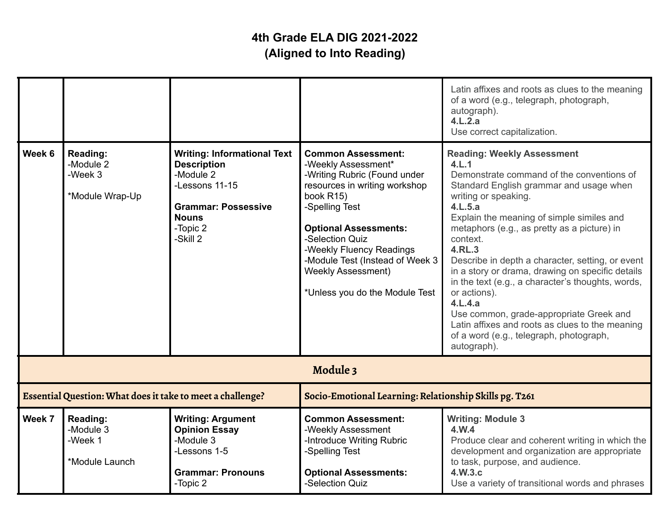|                                                            |                                                     |                                                                                                                                                               |                                                                                                                                                                                                                                                                                                                                   | Latin affixes and roots as clues to the meaning<br>of a word (e.g., telegraph, photograph,<br>autograph).<br>4.L.2.a<br>Use correct capitalization.                                                                                                                                                                                                                                                                                                                                                                                                                                                                                     |
|------------------------------------------------------------|-----------------------------------------------------|---------------------------------------------------------------------------------------------------------------------------------------------------------------|-----------------------------------------------------------------------------------------------------------------------------------------------------------------------------------------------------------------------------------------------------------------------------------------------------------------------------------|-----------------------------------------------------------------------------------------------------------------------------------------------------------------------------------------------------------------------------------------------------------------------------------------------------------------------------------------------------------------------------------------------------------------------------------------------------------------------------------------------------------------------------------------------------------------------------------------------------------------------------------------|
| Week 6                                                     | Reading:<br>-Module 2<br>-Week 3<br>*Module Wrap-Up | <b>Writing: Informational Text</b><br><b>Description</b><br>-Module 2<br>-Lessons 11-15<br><b>Grammar: Possessive</b><br><b>Nouns</b><br>-Topic 2<br>-Skill 2 | <b>Common Assessment:</b><br>-Weekly Assessment*<br>-Writing Rubric (Found under<br>resources in writing workshop<br>book R15)<br>-Spelling Test<br><b>Optional Assessments:</b><br>-Selection Quiz<br>-Weekly Fluency Readings<br>-Module Test (Instead of Week 3<br><b>Weekly Assessment)</b><br>*Unless you do the Module Test | <b>Reading: Weekly Assessment</b><br>4.L.1<br>Demonstrate command of the conventions of<br>Standard English grammar and usage when<br>writing or speaking.<br>4.L.5.a<br>Explain the meaning of simple similes and<br>metaphors (e.g., as pretty as a picture) in<br>context.<br>4.RL.3<br>Describe in depth a character, setting, or event<br>in a story or drama, drawing on specific details<br>in the text (e.g., a character's thoughts, words,<br>or actions).<br>4.L.4.a<br>Use common, grade-appropriate Greek and<br>Latin affixes and roots as clues to the meaning<br>of a word (e.g., telegraph, photograph,<br>autograph). |
|                                                            |                                                     |                                                                                                                                                               | Module 3                                                                                                                                                                                                                                                                                                                          |                                                                                                                                                                                                                                                                                                                                                                                                                                                                                                                                                                                                                                         |
| Essential Question: What does it take to meet a challenge? |                                                     | Socio-Emotional Learning: Relationship Skills pg. T261                                                                                                        |                                                                                                                                                                                                                                                                                                                                   |                                                                                                                                                                                                                                                                                                                                                                                                                                                                                                                                                                                                                                         |
| Week 7                                                     | Reading:<br>-Module 3<br>-Week 1<br>*Module Launch  | <b>Writing: Argument</b><br><b>Opinion Essay</b><br>-Module 3<br>-Lessons 1-5<br><b>Grammar: Pronouns</b><br>-Topic 2                                         | <b>Common Assessment:</b><br>-Weekly Assessment<br>-Introduce Writing Rubric<br>-Spelling Test<br><b>Optional Assessments:</b><br>-Selection Quiz                                                                                                                                                                                 | <b>Writing: Module 3</b><br>4.W.4<br>Produce clear and coherent writing in which the<br>development and organization are appropriate<br>to task, purpose, and audience.<br>4.W.3.c<br>Use a variety of transitional words and phrases                                                                                                                                                                                                                                                                                                                                                                                                   |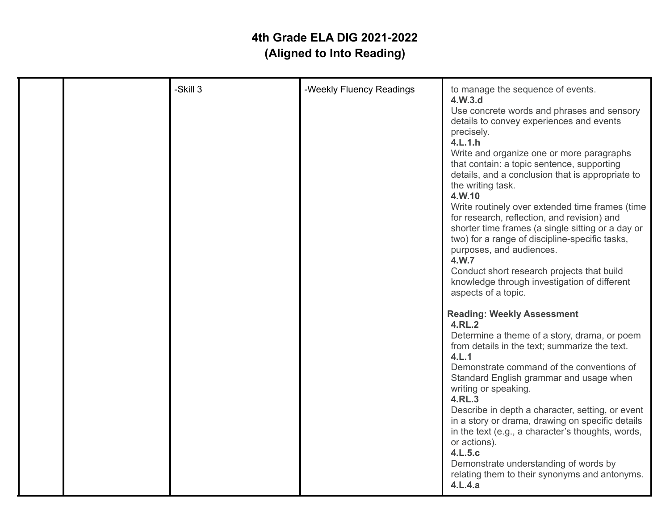|  | -Skill 3 | -Weekly Fluency Readings | to manage the sequence of events.<br>4.W.3.d<br>Use concrete words and phrases and sensory<br>details to convey experiences and events<br>precisely.<br>4.L.1.h<br>Write and organize one or more paragraphs<br>that contain: a topic sentence, supporting<br>details, and a conclusion that is appropriate to<br>the writing task.<br>4.W.10<br>Write routinely over extended time frames (time<br>for research, reflection, and revision) and<br>shorter time frames (a single sitting or a day or<br>two) for a range of discipline-specific tasks,<br>purposes, and audiences.<br>4.W.7<br>Conduct short research projects that build<br>knowledge through investigation of different<br>aspects of a topic. |
|--|----------|--------------------------|------------------------------------------------------------------------------------------------------------------------------------------------------------------------------------------------------------------------------------------------------------------------------------------------------------------------------------------------------------------------------------------------------------------------------------------------------------------------------------------------------------------------------------------------------------------------------------------------------------------------------------------------------------------------------------------------------------------|
|  |          |                          | <b>Reading: Weekly Assessment</b><br>4.RL.2<br>Determine a theme of a story, drama, or poem<br>from details in the text; summarize the text.<br>4.L.1<br>Demonstrate command of the conventions of<br>Standard English grammar and usage when<br>writing or speaking.<br>4.RL.3<br>Describe in depth a character, setting, or event<br>in a story or drama, drawing on specific details<br>in the text (e.g., a character's thoughts, words,<br>or actions).<br>4.L.5.c<br>Demonstrate understanding of words by<br>relating them to their synonyms and antonyms.<br>4.L.4.a                                                                                                                                     |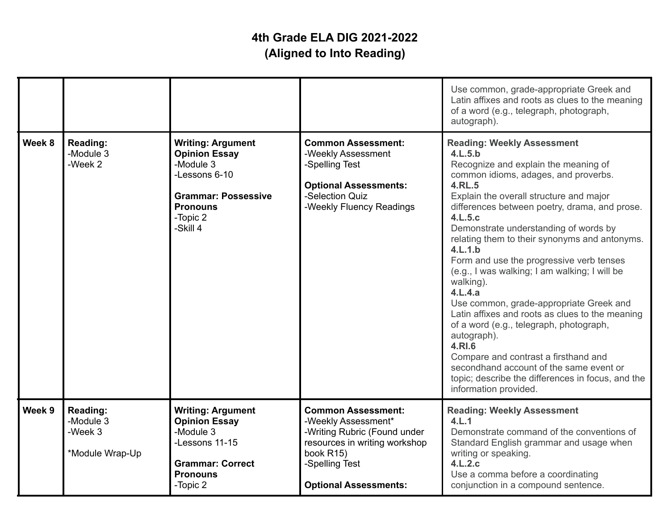|        |                                                     |                                                                                                                                                         |                                                                                                                                                                                  | Use common, grade-appropriate Greek and<br>Latin affixes and roots as clues to the meaning<br>of a word (e.g., telegraph, photograph,<br>autograph).                                                                                                                                                                                                                                                                                                                                                                                                                                                                                                                                                                                                                                                              |
|--------|-----------------------------------------------------|---------------------------------------------------------------------------------------------------------------------------------------------------------|----------------------------------------------------------------------------------------------------------------------------------------------------------------------------------|-------------------------------------------------------------------------------------------------------------------------------------------------------------------------------------------------------------------------------------------------------------------------------------------------------------------------------------------------------------------------------------------------------------------------------------------------------------------------------------------------------------------------------------------------------------------------------------------------------------------------------------------------------------------------------------------------------------------------------------------------------------------------------------------------------------------|
| Week 8 | <b>Reading:</b><br>-Module 3<br>-Week 2             | <b>Writing: Argument</b><br><b>Opinion Essay</b><br>-Module 3<br>-Lessons 6-10<br><b>Grammar: Possessive</b><br><b>Pronouns</b><br>-Topic 2<br>-Skill 4 | <b>Common Assessment:</b><br>-Weekly Assessment<br>-Spelling Test<br><b>Optional Assessments:</b><br>-Selection Quiz<br>-Weekly Fluency Readings                                 | <b>Reading: Weekly Assessment</b><br>4.L.5.b<br>Recognize and explain the meaning of<br>common idioms, adages, and proverbs.<br><b>4.RL.5</b><br>Explain the overall structure and major<br>differences between poetry, drama, and prose.<br>4.L.5.c<br>Demonstrate understanding of words by<br>relating them to their synonyms and antonyms.<br>4.L.1.b<br>Form and use the progressive verb tenses<br>(e.g., I was walking; I am walking; I will be<br>walking).<br>4.L.4.a<br>Use common, grade-appropriate Greek and<br>Latin affixes and roots as clues to the meaning<br>of a word (e.g., telegraph, photograph,<br>autograph).<br>4.RI.6<br>Compare and contrast a firsthand and<br>secondhand account of the same event or<br>topic; describe the differences in focus, and the<br>information provided. |
| Week 9 | Reading:<br>-Module 3<br>-Week 3<br>*Module Wrap-Up | <b>Writing: Argument</b><br><b>Opinion Essay</b><br>-Module 3<br>-Lessons 11-15<br><b>Grammar: Correct</b><br><b>Pronouns</b><br>-Topic 2               | <b>Common Assessment:</b><br>-Weekly Assessment*<br>-Writing Rubric (Found under<br>resources in writing workshop<br>book R15)<br>-Spelling Test<br><b>Optional Assessments:</b> | <b>Reading: Weekly Assessment</b><br>4.L.1<br>Demonstrate command of the conventions of<br>Standard English grammar and usage when<br>writing or speaking.<br>4.L.2.c<br>Use a comma before a coordinating<br>conjunction in a compound sentence.                                                                                                                                                                                                                                                                                                                                                                                                                                                                                                                                                                 |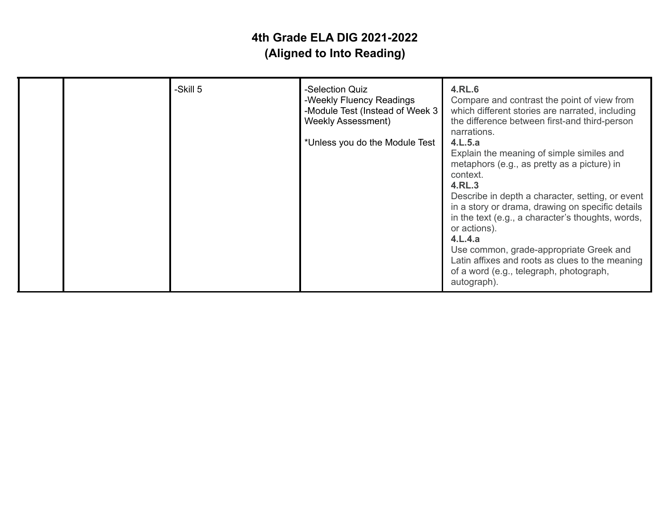| <b>Weekly Assessment)</b><br>the difference between first-and third-person<br>*Unless you do the Module Test | narrations.<br>4.L.5.a<br>Explain the meaning of simple similes and<br>metaphors (e.g., as pretty as a picture) in<br>context.<br>4.RL.3<br>Describe in depth a character, setting, or event<br>in a story or drama, drawing on specific details<br>in the text (e.g., a character's thoughts, words,<br>or actions).<br>4.L.4.a<br>Use common, grade-appropriate Greek and<br>Latin affixes and roots as clues to the meaning<br>of a word (e.g., telegraph, photograph,<br>autograph). |
|--------------------------------------------------------------------------------------------------------------|------------------------------------------------------------------------------------------------------------------------------------------------------------------------------------------------------------------------------------------------------------------------------------------------------------------------------------------------------------------------------------------------------------------------------------------------------------------------------------------|
|--------------------------------------------------------------------------------------------------------------|------------------------------------------------------------------------------------------------------------------------------------------------------------------------------------------------------------------------------------------------------------------------------------------------------------------------------------------------------------------------------------------------------------------------------------------------------------------------------------------|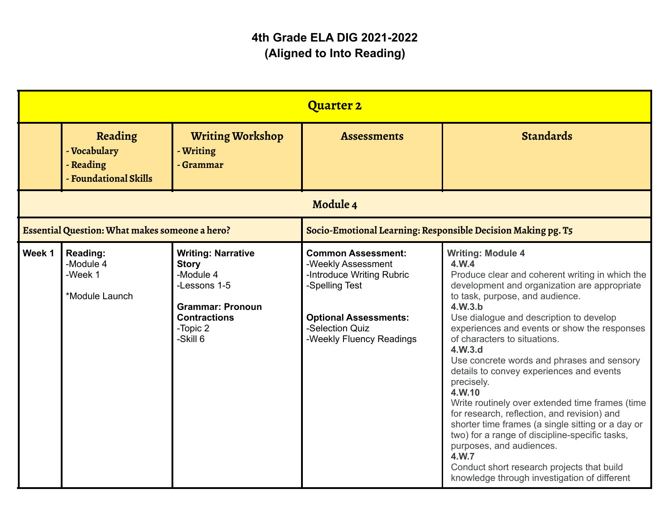|          |                                                               |                                                                                                                                                  | <b>Quarter 2</b>                                                                                                                                                              |                                                                                                                                                                                                                                                                                                                                                                                                                                                                                                                                                                                                                                                                                                                                                                                        |
|----------|---------------------------------------------------------------|--------------------------------------------------------------------------------------------------------------------------------------------------|-------------------------------------------------------------------------------------------------------------------------------------------------------------------------------|----------------------------------------------------------------------------------------------------------------------------------------------------------------------------------------------------------------------------------------------------------------------------------------------------------------------------------------------------------------------------------------------------------------------------------------------------------------------------------------------------------------------------------------------------------------------------------------------------------------------------------------------------------------------------------------------------------------------------------------------------------------------------------------|
|          | Reading<br>- Vocabulary<br>- Reading<br>- Foundational Skills | <b>Writing Workshop</b><br>- Writing<br>- Grammar                                                                                                | <b>Assessments</b>                                                                                                                                                            | <b>Standards</b>                                                                                                                                                                                                                                                                                                                                                                                                                                                                                                                                                                                                                                                                                                                                                                       |
| Module 4 |                                                               |                                                                                                                                                  |                                                                                                                                                                               |                                                                                                                                                                                                                                                                                                                                                                                                                                                                                                                                                                                                                                                                                                                                                                                        |
|          | Essential Question: What makes someone a hero?                |                                                                                                                                                  | Socio-Emotional Learning: Responsible Decision Making pg. T5                                                                                                                  |                                                                                                                                                                                                                                                                                                                                                                                                                                                                                                                                                                                                                                                                                                                                                                                        |
| Week 1   | Reading:<br>-Module 4<br>-Week 1<br>*Module Launch            | <b>Writing: Narrative</b><br><b>Story</b><br>-Module 4<br>-Lessons 1-5<br><b>Grammar: Pronoun</b><br><b>Contractions</b><br>-Topic 2<br>-Skill 6 | <b>Common Assessment:</b><br>-Weekly Assessment<br>-Introduce Writing Rubric<br>-Spelling Test<br><b>Optional Assessments:</b><br>-Selection Quiz<br>-Weekly Fluency Readings | <b>Writing: Module 4</b><br>4.W.4<br>Produce clear and coherent writing in which the<br>development and organization are appropriate<br>to task, purpose, and audience.<br>4.W.3.b<br>Use dialogue and description to develop<br>experiences and events or show the responses<br>of characters to situations.<br>4.W.3.d<br>Use concrete words and phrases and sensory<br>details to convey experiences and events<br>precisely.<br>4.W.10<br>Write routinely over extended time frames (time<br>for research, reflection, and revision) and<br>shorter time frames (a single sitting or a day or<br>two) for a range of discipline-specific tasks,<br>purposes, and audiences.<br>4.W.7<br>Conduct short research projects that build<br>knowledge through investigation of different |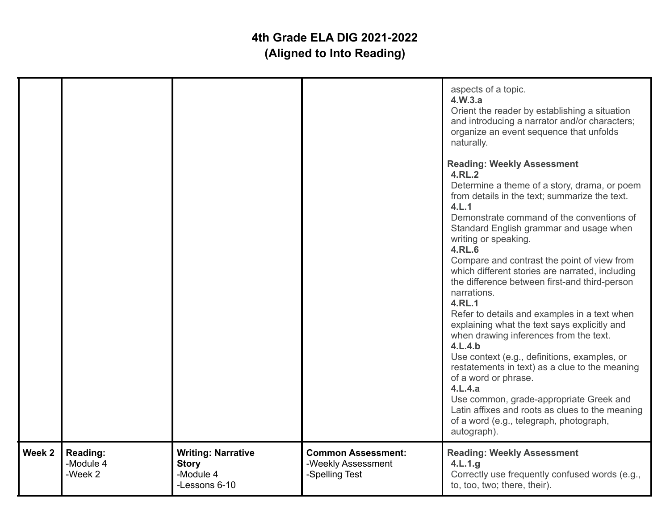|        |                                         |                                                                         |                                                                   | aspects of a topic.<br>4.W.3.a<br>Orient the reader by establishing a situation<br>and introducing a narrator and/or characters;<br>organize an event sequence that unfolds<br>naturally.<br><b>Reading: Weekly Assessment</b><br>4.RL.2<br>Determine a theme of a story, drama, or poem<br>from details in the text; summarize the text.<br>4.L.1<br>Demonstrate command of the conventions of<br>Standard English grammar and usage when<br>writing or speaking.<br><b>4.RL.6</b><br>Compare and contrast the point of view from<br>which different stories are narrated, including<br>the difference between first-and third-person<br>narrations.<br>4.RL.1<br>Refer to details and examples in a text when<br>explaining what the text says explicitly and<br>when drawing inferences from the text.<br>4.L.4.b<br>Use context (e.g., definitions, examples, or<br>restatements in text) as a clue to the meaning<br>of a word or phrase.<br>4.L.4.a<br>Use common, grade-appropriate Greek and<br>Latin affixes and roots as clues to the meaning<br>of a word (e.g., telegraph, photograph,<br>autograph). |
|--------|-----------------------------------------|-------------------------------------------------------------------------|-------------------------------------------------------------------|-------------------------------------------------------------------------------------------------------------------------------------------------------------------------------------------------------------------------------------------------------------------------------------------------------------------------------------------------------------------------------------------------------------------------------------------------------------------------------------------------------------------------------------------------------------------------------------------------------------------------------------------------------------------------------------------------------------------------------------------------------------------------------------------------------------------------------------------------------------------------------------------------------------------------------------------------------------------------------------------------------------------------------------------------------------------------------------------------------------------|
| Week 2 | <b>Reading:</b><br>-Module 4<br>-Week 2 | <b>Writing: Narrative</b><br><b>Story</b><br>-Module 4<br>-Lessons 6-10 | <b>Common Assessment:</b><br>-Weekly Assessment<br>-Spelling Test | <b>Reading: Weekly Assessment</b><br>4.L.1.g<br>Correctly use frequently confused words (e.g.,<br>to, too, two; there, their).                                                                                                                                                                                                                                                                                                                                                                                                                                                                                                                                                                                                                                                                                                                                                                                                                                                                                                                                                                                    |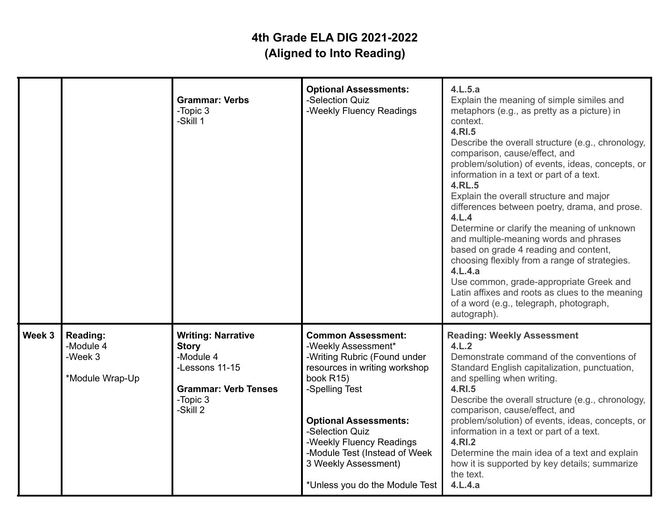|        |                                                     | <b>Grammar: Verbs</b><br>-Topic 3<br>-Skill 1                                                                                   | <b>Optional Assessments:</b><br>-Selection Quiz<br>-Weekly Fluency Readings                                                                                                                                                                                                                                                | 4.L.5.a<br>Explain the meaning of simple similes and<br>metaphors (e.g., as pretty as a picture) in<br>context.<br>4.RI.5<br>Describe the overall structure (e.g., chronology,<br>comparison, cause/effect, and<br>problem/solution) of events, ideas, concepts, or<br>information in a text or part of a text.<br><b>4.RL.5</b><br>Explain the overall structure and major<br>differences between poetry, drama, and prose.<br>4.L.4<br>Determine or clarify the meaning of unknown<br>and multiple-meaning words and phrases<br>based on grade 4 reading and content,<br>choosing flexibly from a range of strategies.<br>4.L.4.a<br>Use common, grade-appropriate Greek and<br>Latin affixes and roots as clues to the meaning<br>of a word (e.g., telegraph, photograph,<br>autograph). |
|--------|-----------------------------------------------------|---------------------------------------------------------------------------------------------------------------------------------|----------------------------------------------------------------------------------------------------------------------------------------------------------------------------------------------------------------------------------------------------------------------------------------------------------------------------|---------------------------------------------------------------------------------------------------------------------------------------------------------------------------------------------------------------------------------------------------------------------------------------------------------------------------------------------------------------------------------------------------------------------------------------------------------------------------------------------------------------------------------------------------------------------------------------------------------------------------------------------------------------------------------------------------------------------------------------------------------------------------------------------|
| Week 3 | Reading:<br>-Module 4<br>-Week 3<br>*Module Wrap-Up | <b>Writing: Narrative</b><br><b>Story</b><br>-Module 4<br>-Lessons 11-15<br><b>Grammar: Verb Tenses</b><br>-Topic 3<br>-Skill 2 | <b>Common Assessment:</b><br>-Weekly Assessment*<br>-Writing Rubric (Found under<br>resources in writing workshop<br>book R15)<br>-Spelling Test<br><b>Optional Assessments:</b><br>-Selection Quiz<br>-Weekly Fluency Readings<br>-Module Test (Instead of Week<br>3 Weekly Assessment)<br>*Unless you do the Module Test | <b>Reading: Weekly Assessment</b><br>4.L.2<br>Demonstrate command of the conventions of<br>Standard English capitalization, punctuation,<br>and spelling when writing.<br>4.RI.5<br>Describe the overall structure (e.g., chronology,<br>comparison, cause/effect, and<br>problem/solution) of events, ideas, concepts, or<br>information in a text or part of a text.<br>4.RI.2<br>Determine the main idea of a text and explain<br>how it is supported by key details; summarize<br>the text.<br>4.L.4.a                                                                                                                                                                                                                                                                                  |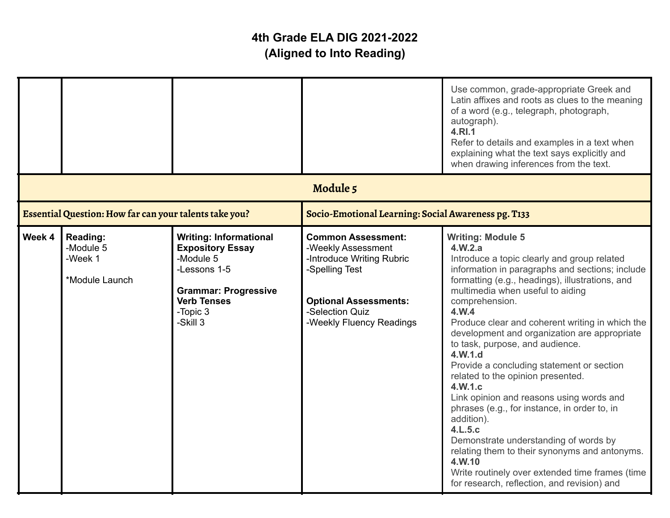|        |                                                           |                                                                                                                                                                    |                                                                                                                                                                               | Use common, grade-appropriate Greek and<br>Latin affixes and roots as clues to the meaning<br>of a word (e.g., telegraph, photograph,<br>autograph).<br>4.RI.1<br>Refer to details and examples in a text when<br>explaining what the text says explicitly and<br>when drawing inferences from the text.                                                                                                                                                                                                                                                                                                                                                                                                                                                                                                                         |
|--------|-----------------------------------------------------------|--------------------------------------------------------------------------------------------------------------------------------------------------------------------|-------------------------------------------------------------------------------------------------------------------------------------------------------------------------------|----------------------------------------------------------------------------------------------------------------------------------------------------------------------------------------------------------------------------------------------------------------------------------------------------------------------------------------------------------------------------------------------------------------------------------------------------------------------------------------------------------------------------------------------------------------------------------------------------------------------------------------------------------------------------------------------------------------------------------------------------------------------------------------------------------------------------------|
|        |                                                           |                                                                                                                                                                    | Module 5                                                                                                                                                                      |                                                                                                                                                                                                                                                                                                                                                                                                                                                                                                                                                                                                                                                                                                                                                                                                                                  |
|        | Essential Question: How far can your talents take you?    |                                                                                                                                                                    | Socio-Emotional Learning: Social Awareness pg. T133                                                                                                                           |                                                                                                                                                                                                                                                                                                                                                                                                                                                                                                                                                                                                                                                                                                                                                                                                                                  |
| Week 4 | <b>Reading:</b><br>-Module 5<br>-Week 1<br>*Module Launch | <b>Writing: Informational</b><br><b>Expository Essay</b><br>-Module 5<br>-Lessons 1-5<br><b>Grammar: Progressive</b><br><b>Verb Tenses</b><br>-Topic 3<br>-Skill 3 | <b>Common Assessment:</b><br>-Weekly Assessment<br>-Introduce Writing Rubric<br>-Spelling Test<br><b>Optional Assessments:</b><br>-Selection Quiz<br>-Weekly Fluency Readings | <b>Writing: Module 5</b><br>4.W.2.a<br>Introduce a topic clearly and group related<br>information in paragraphs and sections; include<br>formatting (e.g., headings), illustrations, and<br>multimedia when useful to aiding<br>comprehension.<br>4.W.4<br>Produce clear and coherent writing in which the<br>development and organization are appropriate<br>to task, purpose, and audience.<br>4.W.1.d<br>Provide a concluding statement or section<br>related to the opinion presented.<br>4.W.1.c<br>Link opinion and reasons using words and<br>phrases (e.g., for instance, in order to, in<br>addition).<br>4.L.5.c<br>Demonstrate understanding of words by<br>relating them to their synonyms and antonyms.<br>4.W.10<br>Write routinely over extended time frames (time<br>for research, reflection, and revision) and |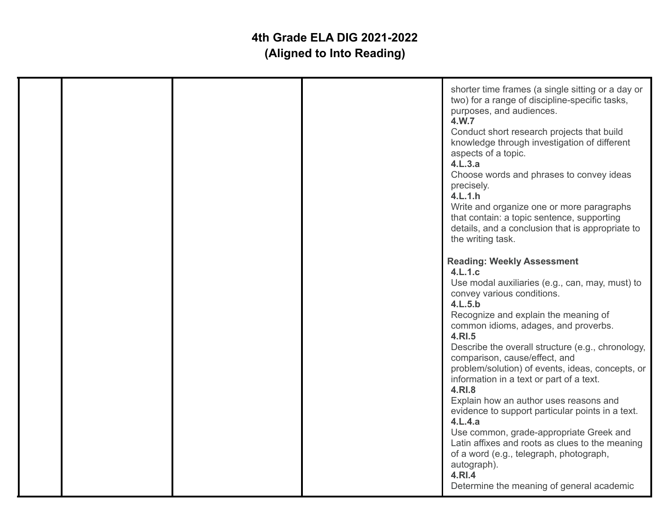|  | shorter time frames (a single sitting or a day or<br>two) for a range of discipline-specific tasks,<br>purposes, and audiences.<br>4.W.7<br>Conduct short research projects that build<br>knowledge through investigation of different<br>aspects of a topic.<br>4.L.3.a<br>Choose words and phrases to convey ideas<br>precisely.<br>4.L.1.h<br>Write and organize one or more paragraphs<br>that contain: a topic sentence, supporting<br>details, and a conclusion that is appropriate to<br>the writing task.                                                                                                                                                                                                                                          |
|--|------------------------------------------------------------------------------------------------------------------------------------------------------------------------------------------------------------------------------------------------------------------------------------------------------------------------------------------------------------------------------------------------------------------------------------------------------------------------------------------------------------------------------------------------------------------------------------------------------------------------------------------------------------------------------------------------------------------------------------------------------------|
|  | <b>Reading: Weekly Assessment</b><br>4.L.1.c<br>Use modal auxiliaries (e.g., can, may, must) to<br>convey various conditions.<br>4.L.5.b<br>Recognize and explain the meaning of<br>common idioms, adages, and proverbs.<br>4.RI.5<br>Describe the overall structure (e.g., chronology,<br>comparison, cause/effect, and<br>problem/solution) of events, ideas, concepts, or<br>information in a text or part of a text.<br>4.RI.8<br>Explain how an author uses reasons and<br>evidence to support particular points in a text.<br>4.L.4.a<br>Use common, grade-appropriate Greek and<br>Latin affixes and roots as clues to the meaning<br>of a word (e.g., telegraph, photograph,<br>autograph).<br>4.RI.4<br>Determine the meaning of general academic |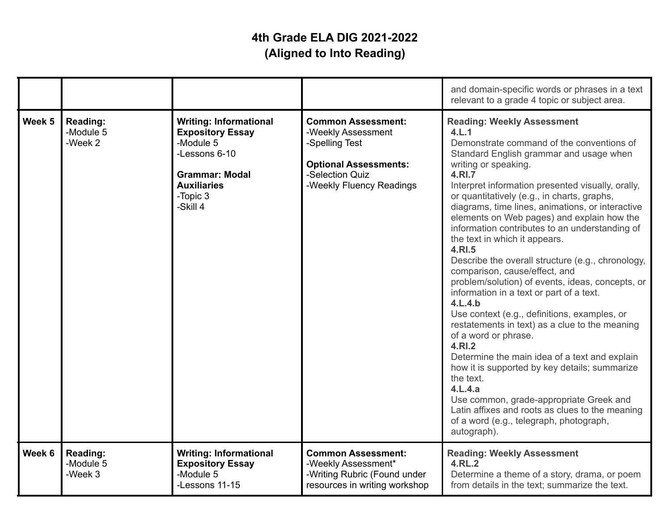|        |                                         |                                                                                                                                                               |                                                                                                                                                  | and domain-specific words or phrases in a text<br>relevant to a grade 4 topic or subject area.                                                                                                                                                                                                                                                                                                                                                                                                                                                                                                                                                                                                                                                                                                                                                                                                                                                                                                                                                                                                 |
|--------|-----------------------------------------|---------------------------------------------------------------------------------------------------------------------------------------------------------------|--------------------------------------------------------------------------------------------------------------------------------------------------|------------------------------------------------------------------------------------------------------------------------------------------------------------------------------------------------------------------------------------------------------------------------------------------------------------------------------------------------------------------------------------------------------------------------------------------------------------------------------------------------------------------------------------------------------------------------------------------------------------------------------------------------------------------------------------------------------------------------------------------------------------------------------------------------------------------------------------------------------------------------------------------------------------------------------------------------------------------------------------------------------------------------------------------------------------------------------------------------|
| Week 5 | Reading:<br>-Module 5<br>-Week 2        | <b>Writing: Informational</b><br><b>Expository Essay</b><br>-Module 5<br>-Lessons 6-10<br><b>Grammar: Modal</b><br><b>Auxiliaries</b><br>-Topic 3<br>-Skill 4 | <b>Common Assessment:</b><br>-Weekly Assessment<br>-Spelling Test<br><b>Optional Assessments:</b><br>-Selection Quiz<br>-Weekly Fluency Readings | <b>Reading: Weekly Assessment</b><br>4.L.1<br>Demonstrate command of the conventions of<br>Standard English grammar and usage when<br>writing or speaking.<br>4.RI.7<br>Interpret information presented visually, orally,<br>or quantitatively (e.g., in charts, graphs,<br>diagrams, time lines, animations, or interactive<br>elements on Web pages) and explain how the<br>information contributes to an understanding of<br>the text in which it appears.<br>4.RI.5<br>Describe the overall structure (e.g., chronology,<br>comparison, cause/effect, and<br>problem/solution) of events, ideas, concepts, or<br>information in a text or part of a text.<br>4.L.4.b<br>Use context (e.g., definitions, examples, or<br>restatements in text) as a clue to the meaning<br>of a word or phrase.<br>4.RI.2<br>Determine the main idea of a text and explain<br>how it is supported by key details; summarize<br>the text.<br>4.L.4.a<br>Use common, grade-appropriate Greek and<br>Latin affixes and roots as clues to the meaning<br>of a word (e.g., telegraph, photograph,<br>autograph). |
| Week 6 | <b>Reading:</b><br>-Module 5<br>-Week 3 | <b>Writing: Informational</b><br><b>Expository Essay</b><br>-Module 5<br>-Lessons 11-15                                                                       | <b>Common Assessment:</b><br>-Weekly Assessment*<br>-Writing Rubric (Found under<br>resources in writing workshop                                | <b>Reading: Weekly Assessment</b><br>4.RL.2<br>Determine a theme of a story, drama, or poem<br>from details in the text; summarize the text.                                                                                                                                                                                                                                                                                                                                                                                                                                                                                                                                                                                                                                                                                                                                                                                                                                                                                                                                                   |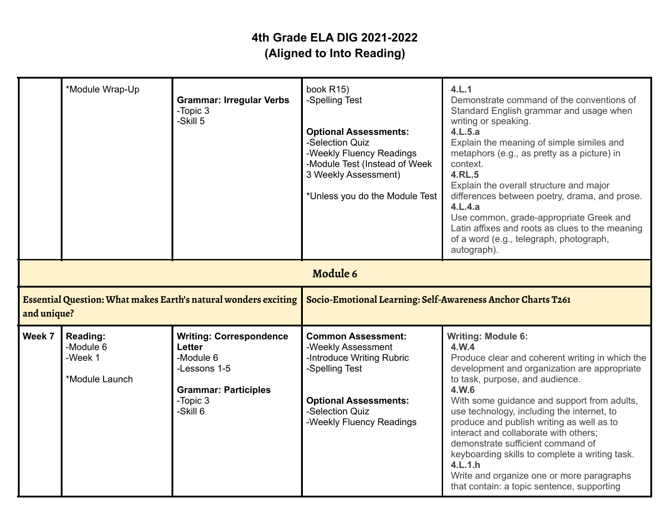|             | *Module Wrap-Up                                    | <b>Grammar: Irregular Verbs</b><br>-Topic 3<br>-Skill 5                                                                             | book R15)<br>-Spelling Test<br><b>Optional Assessments:</b><br>-Selection Quiz<br>-Weekly Fluency Readings<br>-Module Test (Instead of Week<br>3 Weekly Assessment)<br>*Unless you do the Module Test | 4.L.1<br>Demonstrate command of the conventions of<br>Standard English grammar and usage when<br>writing or speaking.<br>4.L.5.a<br>Explain the meaning of simple similes and<br>metaphors (e.g., as pretty as a picture) in<br>context.<br>4.RL.5<br>Explain the overall structure and major<br>differences between poetry, drama, and prose.<br>4.L.4.a<br>Use common, grade-appropriate Greek and<br>Latin affixes and roots as clues to the meaning<br>of a word (e.g., telegraph, photograph,<br>autograph).                                                 |
|-------------|----------------------------------------------------|-------------------------------------------------------------------------------------------------------------------------------------|-------------------------------------------------------------------------------------------------------------------------------------------------------------------------------------------------------|-------------------------------------------------------------------------------------------------------------------------------------------------------------------------------------------------------------------------------------------------------------------------------------------------------------------------------------------------------------------------------------------------------------------------------------------------------------------------------------------------------------------------------------------------------------------|
|             |                                                    |                                                                                                                                     | Module 6                                                                                                                                                                                              |                                                                                                                                                                                                                                                                                                                                                                                                                                                                                                                                                                   |
| and unique? |                                                    | Essential Question: What makes Earth's natural wonders exciting                                                                     | Socio-Emotional Learning: Self-Awareness Anchor Charts T261                                                                                                                                           |                                                                                                                                                                                                                                                                                                                                                                                                                                                                                                                                                                   |
| Week 7      | Reading:<br>-Module 6<br>-Week 1<br>*Module Launch | <b>Writing: Correspondence</b><br><b>Letter</b><br>-Module 6<br>-Lessons 1-5<br><b>Grammar: Participles</b><br>-Topic 3<br>-Skill 6 | <b>Common Assessment:</b><br>-Weekly Assessment<br>-Introduce Writing Rubric<br>-Spelling Test<br><b>Optional Assessments:</b><br>-Selection Quiz<br>-Weekly Fluency Readings                         | <b>Writing: Module 6:</b><br>4.W.4<br>Produce clear and coherent writing in which the<br>development and organization are appropriate<br>to task, purpose, and audience.<br>4.W.6<br>With some guidance and support from adults,<br>use technology, including the internet, to<br>produce and publish writing as well as to<br>interact and collaborate with others;<br>demonstrate sufficient command of<br>keyboarding skills to complete a writing task.<br>4.L.1.h<br>Write and organize one or more paragraphs<br>that contain: a topic sentence, supporting |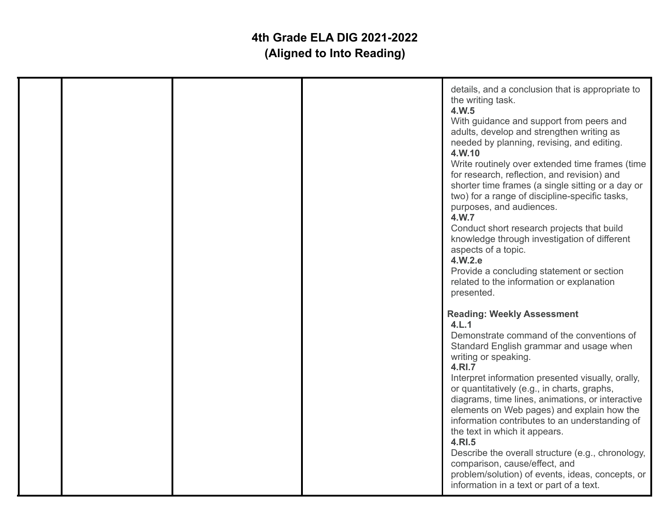|  |  | details, and a conclusion that is appropriate to<br>the writing task.<br>4.W.5<br>With guidance and support from peers and<br>adults, develop and strengthen writing as<br>needed by planning, revising, and editing.<br>4.W.10<br>Write routinely over extended time frames (time<br>for research, reflection, and revision) and<br>shorter time frames (a single sitting or a day or<br>two) for a range of discipline-specific tasks,<br>purposes, and audiences.<br>4.W.7<br>Conduct short research projects that build<br>knowledge through investigation of different<br>aspects of a topic.<br>4.W.2.e<br>Provide a concluding statement or section<br>related to the information or explanation<br>presented. |
|--|--|-----------------------------------------------------------------------------------------------------------------------------------------------------------------------------------------------------------------------------------------------------------------------------------------------------------------------------------------------------------------------------------------------------------------------------------------------------------------------------------------------------------------------------------------------------------------------------------------------------------------------------------------------------------------------------------------------------------------------|
|  |  | <b>Reading: Weekly Assessment</b><br>4.L.1<br>Demonstrate command of the conventions of<br>Standard English grammar and usage when<br>writing or speaking.<br>4.RI.7<br>Interpret information presented visually, orally,<br>or quantitatively (e.g., in charts, graphs,<br>diagrams, time lines, animations, or interactive<br>elements on Web pages) and explain how the<br>information contributes to an understanding of<br>the text in which it appears.<br>4.RI.5<br>Describe the overall structure (e.g., chronology,<br>comparison, cause/effect, and<br>problem/solution) of events, ideas, concepts, or<br>information in a text or part of a text.                                                         |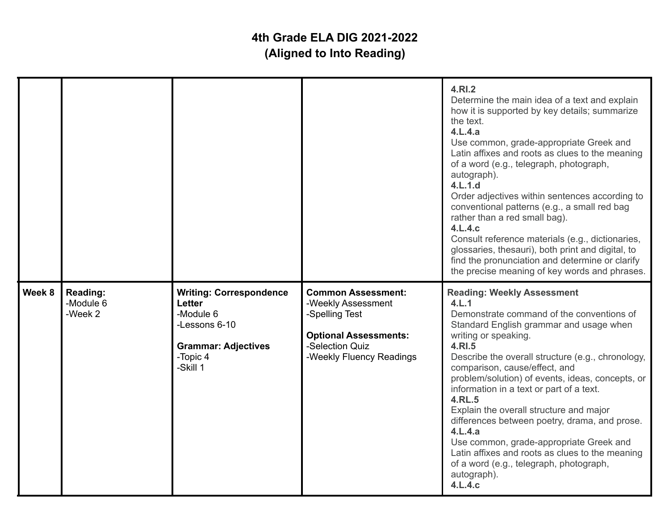|        |                                  |                                                                                                                                     |                                                                                                                                                  | 4.RI.2<br>Determine the main idea of a text and explain<br>how it is supported by key details; summarize<br>the text.<br>4.L.4.a<br>Use common, grade-appropriate Greek and<br>Latin affixes and roots as clues to the meaning<br>of a word (e.g., telegraph, photograph,<br>autograph).<br>4.L.1.d<br>Order adjectives within sentences according to<br>conventional patterns (e.g., a small red bag<br>rather than a red small bag).<br>4.L.4.c<br>Consult reference materials (e.g., dictionaries,<br>glossaries, thesauri), both print and digital, to<br>find the pronunciation and determine or clarify<br>the precise meaning of key words and phrases. |
|--------|----------------------------------|-------------------------------------------------------------------------------------------------------------------------------------|--------------------------------------------------------------------------------------------------------------------------------------------------|----------------------------------------------------------------------------------------------------------------------------------------------------------------------------------------------------------------------------------------------------------------------------------------------------------------------------------------------------------------------------------------------------------------------------------------------------------------------------------------------------------------------------------------------------------------------------------------------------------------------------------------------------------------|
| Week 8 | Reading:<br>-Module 6<br>-Week 2 | <b>Writing: Correspondence</b><br><b>Letter</b><br>-Module 6<br>-Lessons 6-10<br><b>Grammar: Adjectives</b><br>-Topic 4<br>-Skill 1 | <b>Common Assessment:</b><br>-Weekly Assessment<br>-Spelling Test<br><b>Optional Assessments:</b><br>-Selection Quiz<br>-Weekly Fluency Readings | <b>Reading: Weekly Assessment</b><br>4.L.1<br>Demonstrate command of the conventions of<br>Standard English grammar and usage when<br>writing or speaking.<br>4.RI.5<br>Describe the overall structure (e.g., chronology,<br>comparison, cause/effect, and<br>problem/solution) of events, ideas, concepts, or<br>information in a text or part of a text.<br><b>4.RL.5</b><br>Explain the overall structure and major<br>differences between poetry, drama, and prose.<br>4.L.4.a<br>Use common, grade-appropriate Greek and<br>Latin affixes and roots as clues to the meaning<br>of a word (e.g., telegraph, photograph,<br>autograph).<br>4.L.4.c          |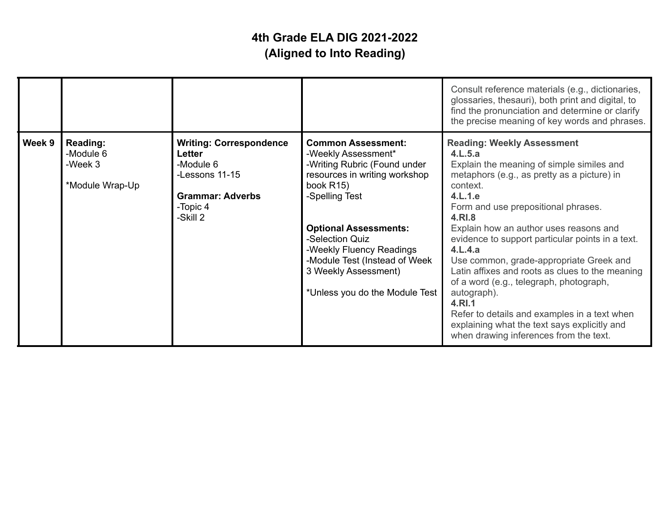|        |                                                     |                                                                                                                            |                                                                                                                                                                                                                                                                                                                            | Consult reference materials (e.g., dictionaries,<br>glossaries, thesauri), both print and digital, to<br>find the pronunciation and determine or clarify<br>the precise meaning of key words and phrases.                                                                                                                                                                                                                                                                                                                                                                                                                             |
|--------|-----------------------------------------------------|----------------------------------------------------------------------------------------------------------------------------|----------------------------------------------------------------------------------------------------------------------------------------------------------------------------------------------------------------------------------------------------------------------------------------------------------------------------|---------------------------------------------------------------------------------------------------------------------------------------------------------------------------------------------------------------------------------------------------------------------------------------------------------------------------------------------------------------------------------------------------------------------------------------------------------------------------------------------------------------------------------------------------------------------------------------------------------------------------------------|
| Week 9 | Reading:<br>-Module 6<br>-Week 3<br>*Module Wrap-Up | <b>Writing: Correspondence</b><br>Letter<br>-Module 6<br>-Lessons 11-15<br><b>Grammar: Adverbs</b><br>-Topic 4<br>-Skill 2 | <b>Common Assessment:</b><br>-Weekly Assessment*<br>-Writing Rubric (Found under<br>resources in writing workshop<br>book R15)<br>-Spelling Test<br><b>Optional Assessments:</b><br>-Selection Quiz<br>-Weekly Fluency Readings<br>-Module Test (Instead of Week<br>3 Weekly Assessment)<br>*Unless you do the Module Test | <b>Reading: Weekly Assessment</b><br>4.L.5.a<br>Explain the meaning of simple similes and<br>metaphors (e.g., as pretty as a picture) in<br>context.<br>4.L.1.e<br>Form and use prepositional phrases.<br>4.RI.8<br>Explain how an author uses reasons and<br>evidence to support particular points in a text.<br>4.L.4.a<br>Use common, grade-appropriate Greek and<br>Latin affixes and roots as clues to the meaning<br>of a word (e.g., telegraph, photograph,<br>autograph).<br>4.RI.1<br>Refer to details and examples in a text when<br>explaining what the text says explicitly and<br>when drawing inferences from the text. |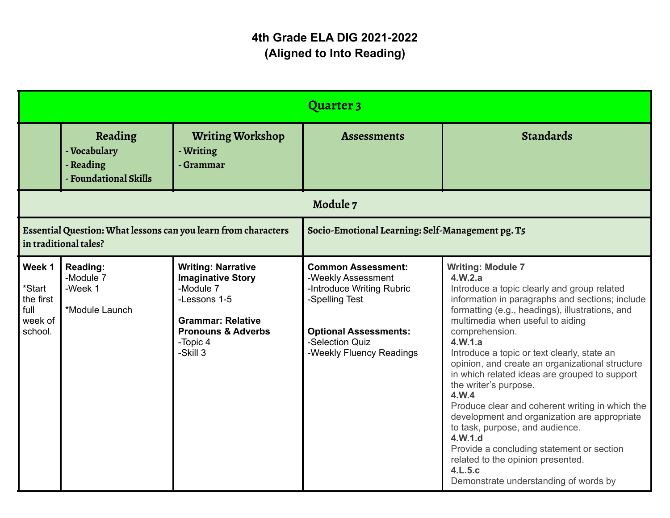|                                                                                         |                                                               |                                                                                                                                                                         | Quarter 3                                                                                                                                                                     |                                                                                                                                                                                                                                                                                                                                                                                                                                                                                                                                                                                                                                                                                                                                       |
|-----------------------------------------------------------------------------------------|---------------------------------------------------------------|-------------------------------------------------------------------------------------------------------------------------------------------------------------------------|-------------------------------------------------------------------------------------------------------------------------------------------------------------------------------|---------------------------------------------------------------------------------------------------------------------------------------------------------------------------------------------------------------------------------------------------------------------------------------------------------------------------------------------------------------------------------------------------------------------------------------------------------------------------------------------------------------------------------------------------------------------------------------------------------------------------------------------------------------------------------------------------------------------------------------|
|                                                                                         | Reading<br>- Vocabulary<br>- Reading<br>- Foundational Skills | <b>Writing Workshop</b><br>- Writing<br>- Grammar                                                                                                                       | <b>Assessments</b>                                                                                                                                                            | Standards                                                                                                                                                                                                                                                                                                                                                                                                                                                                                                                                                                                                                                                                                                                             |
|                                                                                         |                                                               |                                                                                                                                                                         | Module 7                                                                                                                                                                      |                                                                                                                                                                                                                                                                                                                                                                                                                                                                                                                                                                                                                                                                                                                                       |
| Essential Question: What lessons can you learn from characters<br>in traditional tales? |                                                               | Socio-Emotional Learning: Self-Management pg. T5                                                                                                                        |                                                                                                                                                                               |                                                                                                                                                                                                                                                                                                                                                                                                                                                                                                                                                                                                                                                                                                                                       |
| Week 1<br>*Start<br>the first<br>full<br>week of<br>school.                             | <b>Reading:</b><br>-Module 7<br>-Week 1<br>*Module Launch     | <b>Writing: Narrative</b><br><b>Imaginative Story</b><br>-Module 7<br>-Lessons 1-5<br><b>Grammar: Relative</b><br><b>Pronouns &amp; Adverbs</b><br>-Topic 4<br>-Skill 3 | <b>Common Assessment:</b><br>-Weekly Assessment<br>-Introduce Writing Rubric<br>-Spelling Test<br><b>Optional Assessments:</b><br>-Selection Quiz<br>-Weekly Fluency Readings | <b>Writing: Module 7</b><br>4.W.2.a<br>Introduce a topic clearly and group related<br>information in paragraphs and sections; include<br>formatting (e.g., headings), illustrations, and<br>multimedia when useful to aiding<br>comprehension.<br>4.W.1.a<br>Introduce a topic or text clearly, state an<br>opinion, and create an organizational structure<br>in which related ideas are grouped to support<br>the writer's purpose.<br>4.W.4<br>Produce clear and coherent writing in which the<br>development and organization are appropriate<br>to task, purpose, and audience.<br>4.W.1.d<br>Provide a concluding statement or section<br>related to the opinion presented.<br>4.L.5.c<br>Demonstrate understanding of words by |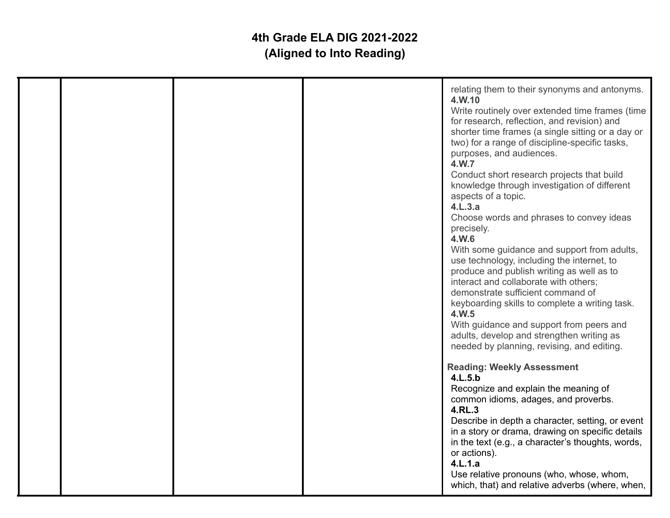|  |  | relating them to their synonyms and antonyms.<br>4.W.10<br>Write routinely over extended time frames (time<br>for research, reflection, and revision) and<br>shorter time frames (a single sitting or a day or<br>two) for a range of discipline-specific tasks,<br>purposes, and audiences.<br>4.W.7<br>Conduct short research projects that build<br>knowledge through investigation of different<br>aspects of a topic.<br>4.L.3.a<br>Choose words and phrases to convey ideas<br>precisely.<br>4.W.6<br>With some guidance and support from adults,<br>use technology, including the internet, to<br>produce and publish writing as well as to<br>interact and collaborate with others;<br>demonstrate sufficient command of<br>keyboarding skills to complete a writing task.<br>4.W.5<br>With guidance and support from peers and<br>adults, develop and strengthen writing as<br>needed by planning, revising, and editing.<br><b>Reading: Weekly Assessment</b><br>4.L.5.b<br>Recognize and explain the meaning of<br>common idioms, adages, and proverbs.<br>4.RL.3<br>Describe in depth a character, setting, or event<br>in a story or drama, drawing on specific details<br>in the text (e.g., a character's thoughts, words,<br>or actions).<br>4.L.1.a |
|--|--|----------------------------------------------------------------------------------------------------------------------------------------------------------------------------------------------------------------------------------------------------------------------------------------------------------------------------------------------------------------------------------------------------------------------------------------------------------------------------------------------------------------------------------------------------------------------------------------------------------------------------------------------------------------------------------------------------------------------------------------------------------------------------------------------------------------------------------------------------------------------------------------------------------------------------------------------------------------------------------------------------------------------------------------------------------------------------------------------------------------------------------------------------------------------------------------------------------------------------------------------------------------------|
|  |  | Use relative pronouns (who, whose, whom,<br>which, that) and relative adverbs (where, when,                                                                                                                                                                                                                                                                                                                                                                                                                                                                                                                                                                                                                                                                                                                                                                                                                                                                                                                                                                                                                                                                                                                                                                          |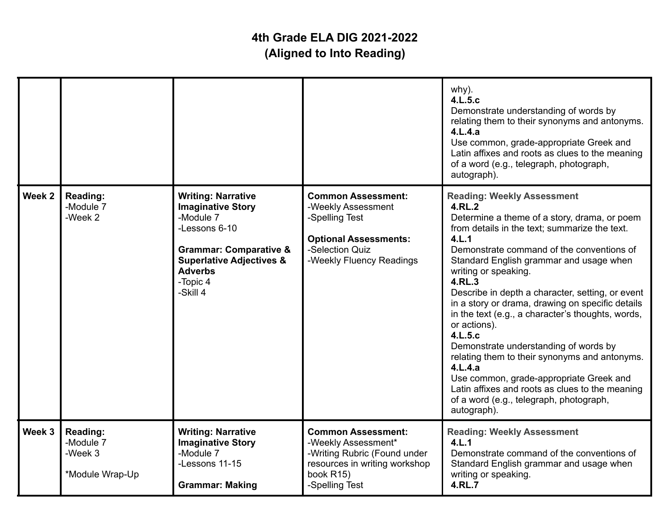|        |                                                     |                                                                                                                                                                                                           |                                                                                                                                                  | why).<br>4.L.5.c<br>Demonstrate understanding of words by<br>relating them to their synonyms and antonyms.<br>4.L.4.a<br>Use common, grade-appropriate Greek and<br>Latin affixes and roots as clues to the meaning<br>of a word (e.g., telegraph, photograph,<br>autograph).                                                                                                                                                                                                                                                                                                                                                                                                                                                        |
|--------|-----------------------------------------------------|-----------------------------------------------------------------------------------------------------------------------------------------------------------------------------------------------------------|--------------------------------------------------------------------------------------------------------------------------------------------------|--------------------------------------------------------------------------------------------------------------------------------------------------------------------------------------------------------------------------------------------------------------------------------------------------------------------------------------------------------------------------------------------------------------------------------------------------------------------------------------------------------------------------------------------------------------------------------------------------------------------------------------------------------------------------------------------------------------------------------------|
| Week 2 | Reading:<br>-Module 7<br>-Week 2                    | <b>Writing: Narrative</b><br><b>Imaginative Story</b><br>-Module 7<br>-Lessons 6-10<br><b>Grammar: Comparative &amp;</b><br><b>Superlative Adjectives &amp;</b><br><b>Adverbs</b><br>-Topic 4<br>-Skill 4 | <b>Common Assessment:</b><br>-Weekly Assessment<br>-Spelling Test<br><b>Optional Assessments:</b><br>-Selection Quiz<br>-Weekly Fluency Readings | <b>Reading: Weekly Assessment</b><br>4.RL.2<br>Determine a theme of a story, drama, or poem<br>from details in the text; summarize the text.<br>4.L.1<br>Demonstrate command of the conventions of<br>Standard English grammar and usage when<br>writing or speaking.<br>4.RL.3<br>Describe in depth a character, setting, or event<br>in a story or drama, drawing on specific details<br>in the text (e.g., a character's thoughts, words,<br>or actions).<br>4.L.5.c<br>Demonstrate understanding of words by<br>relating them to their synonyms and antonyms.<br>4.L.4.a<br>Use common, grade-appropriate Greek and<br>Latin affixes and roots as clues to the meaning<br>of a word (e.g., telegraph, photograph,<br>autograph). |
| Week 3 | Reading:<br>-Module 7<br>-Week 3<br>*Module Wrap-Up | <b>Writing: Narrative</b><br><b>Imaginative Story</b><br>-Module 7<br>-Lessons 11-15<br><b>Grammar: Making</b>                                                                                            | <b>Common Assessment:</b><br>-Weekly Assessment*<br>-Writing Rubric (Found under<br>resources in writing workshop<br>book R15)<br>-Spelling Test | <b>Reading: Weekly Assessment</b><br>4.L.1<br>Demonstrate command of the conventions of<br>Standard English grammar and usage when<br>writing or speaking.<br><b>4.RL.7</b>                                                                                                                                                                                                                                                                                                                                                                                                                                                                                                                                                          |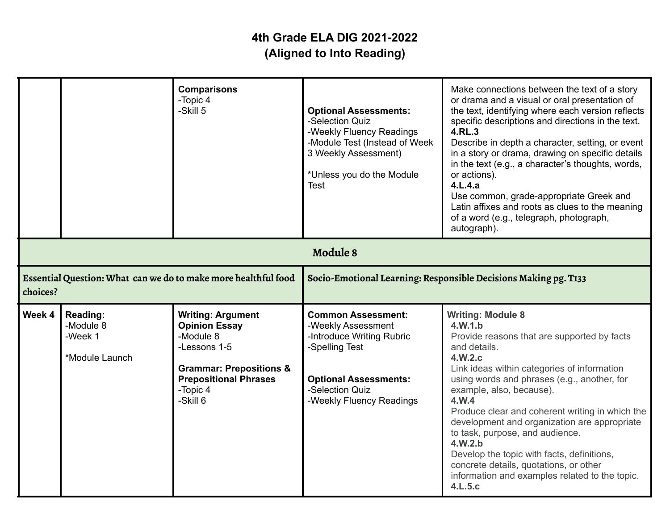|          |                                                    | <b>Comparisons</b><br>-Topic 4<br>-Skill 5                                                                                                                                  | <b>Optional Assessments:</b><br>-Selection Quiz<br>-Weekly Fluency Readings<br>-Module Test (Instead of Week<br>3 Weekly Assessment)<br>*Unless you do the Module<br>Test     | Make connections between the text of a story<br>or drama and a visual or oral presentation of<br>the text, identifying where each version reflects<br>specific descriptions and directions in the text.<br>4.RL.3<br>Describe in depth a character, setting, or event<br>in a story or drama, drawing on specific details<br>in the text (e.g., a character's thoughts, words,<br>or actions).<br>4.L.4.a<br>Use common, grade-appropriate Greek and<br>Latin affixes and roots as clues to the meaning<br>of a word (e.g., telegraph, photograph,<br>autograph). |
|----------|----------------------------------------------------|-----------------------------------------------------------------------------------------------------------------------------------------------------------------------------|-------------------------------------------------------------------------------------------------------------------------------------------------------------------------------|-------------------------------------------------------------------------------------------------------------------------------------------------------------------------------------------------------------------------------------------------------------------------------------------------------------------------------------------------------------------------------------------------------------------------------------------------------------------------------------------------------------------------------------------------------------------|
|          |                                                    |                                                                                                                                                                             | Module 8                                                                                                                                                                      |                                                                                                                                                                                                                                                                                                                                                                                                                                                                                                                                                                   |
| choices? |                                                    | Essential Question: What can we do to make more healthful food                                                                                                              | Socio-Emotional Learning: Responsible Decisions Making pg. T133                                                                                                               |                                                                                                                                                                                                                                                                                                                                                                                                                                                                                                                                                                   |
| Week 4   | Reading:<br>-Module 8<br>-Week 1<br>*Module Launch | <b>Writing: Argument</b><br><b>Opinion Essay</b><br>-Module 8<br>-Lessons 1-5<br><b>Grammar: Prepositions &amp;</b><br><b>Prepositional Phrases</b><br>-Topic 4<br>-Skill 6 | <b>Common Assessment:</b><br>-Weekly Assessment<br>-Introduce Writing Rubric<br>-Spelling Test<br><b>Optional Assessments:</b><br>-Selection Quiz<br>-Weekly Fluency Readings | <b>Writing: Module 8</b><br>4.W.1.b<br>Provide reasons that are supported by facts<br>and details.<br>4.W.2.c<br>Link ideas within categories of information<br>using words and phrases (e.g., another, for<br>example, also, because).<br>4.W.4<br>Produce clear and coherent writing in which the<br>development and organization are appropriate<br>to task, purpose, and audience.<br>4.W.2.b<br>Develop the topic with facts, definitions,<br>concrete details, quotations, or other<br>information and examples related to the topic.<br>4.L.5.c            |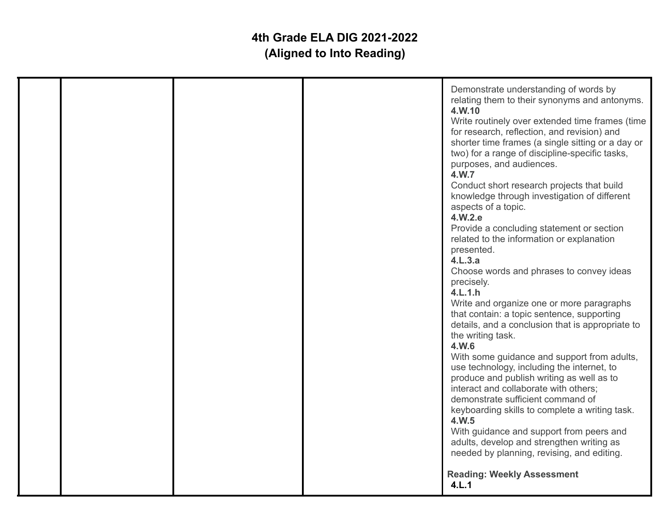| <b>Reading: Weekly Assessment</b><br>4.L.1 |  |  |  |  | Demonstrate understanding of words by<br>relating them to their synonyms and antonyms.<br>4.W.10<br>Write routinely over extended time frames (time<br>for research, reflection, and revision) and<br>shorter time frames (a single sitting or a day or<br>two) for a range of discipline-specific tasks,<br>purposes, and audiences.<br>4.W.7<br>Conduct short research projects that build<br>knowledge through investigation of different<br>aspects of a topic.<br>4.W.2.e<br>Provide a concluding statement or section<br>related to the information or explanation<br>presented.<br>4.L.3.a<br>Choose words and phrases to convey ideas<br>precisely.<br>4.L.1.h<br>Write and organize one or more paragraphs<br>that contain: a topic sentence, supporting<br>details, and a conclusion that is appropriate to<br>the writing task.<br>4.W.6<br>With some guidance and support from adults,<br>use technology, including the internet, to<br>produce and publish writing as well as to<br>interact and collaborate with others;<br>demonstrate sufficient command of<br>keyboarding skills to complete a writing task.<br>4.W.5<br>With guidance and support from peers and<br>adults, develop and strengthen writing as<br>needed by planning, revising, and editing. |
|--------------------------------------------|--|--|--|--|-------------------------------------------------------------------------------------------------------------------------------------------------------------------------------------------------------------------------------------------------------------------------------------------------------------------------------------------------------------------------------------------------------------------------------------------------------------------------------------------------------------------------------------------------------------------------------------------------------------------------------------------------------------------------------------------------------------------------------------------------------------------------------------------------------------------------------------------------------------------------------------------------------------------------------------------------------------------------------------------------------------------------------------------------------------------------------------------------------------------------------------------------------------------------------------------------------------------------------------------------------------------------------|
|--------------------------------------------|--|--|--|--|-------------------------------------------------------------------------------------------------------------------------------------------------------------------------------------------------------------------------------------------------------------------------------------------------------------------------------------------------------------------------------------------------------------------------------------------------------------------------------------------------------------------------------------------------------------------------------------------------------------------------------------------------------------------------------------------------------------------------------------------------------------------------------------------------------------------------------------------------------------------------------------------------------------------------------------------------------------------------------------------------------------------------------------------------------------------------------------------------------------------------------------------------------------------------------------------------------------------------------------------------------------------------------|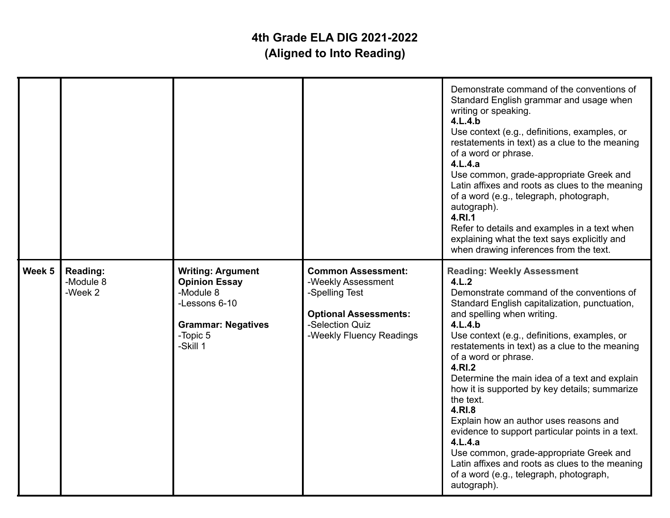|        |                                  |                                                                                                                                     |                                                                                                                                                  | Demonstrate command of the conventions of<br>Standard English grammar and usage when<br>writing or speaking.<br>4.L.4.b<br>Use context (e.g., definitions, examples, or<br>restatements in text) as a clue to the meaning<br>of a word or phrase.<br>4.L.4.a<br>Use common, grade-appropriate Greek and<br>Latin affixes and roots as clues to the meaning<br>of a word (e.g., telegraph, photograph,<br>autograph).<br>4.RI.1<br>Refer to details and examples in a text when<br>explaining what the text says explicitly and<br>when drawing inferences from the text.                                                                                                                                        |
|--------|----------------------------------|-------------------------------------------------------------------------------------------------------------------------------------|--------------------------------------------------------------------------------------------------------------------------------------------------|-----------------------------------------------------------------------------------------------------------------------------------------------------------------------------------------------------------------------------------------------------------------------------------------------------------------------------------------------------------------------------------------------------------------------------------------------------------------------------------------------------------------------------------------------------------------------------------------------------------------------------------------------------------------------------------------------------------------|
| Week 5 | Reading:<br>-Module 8<br>-Week 2 | <b>Writing: Argument</b><br><b>Opinion Essay</b><br>-Module 8<br>-Lessons 6-10<br><b>Grammar: Negatives</b><br>-Topic 5<br>-Skill 1 | <b>Common Assessment:</b><br>-Weekly Assessment<br>-Spelling Test<br><b>Optional Assessments:</b><br>-Selection Quiz<br>-Weekly Fluency Readings | <b>Reading: Weekly Assessment</b><br>4.L.2<br>Demonstrate command of the conventions of<br>Standard English capitalization, punctuation,<br>and spelling when writing.<br>4.L.4.b<br>Use context (e.g., definitions, examples, or<br>restatements in text) as a clue to the meaning<br>of a word or phrase.<br>4.RI.2<br>Determine the main idea of a text and explain<br>how it is supported by key details; summarize<br>the text.<br>4.RI.8<br>Explain how an author uses reasons and<br>evidence to support particular points in a text.<br>4.L.4.a<br>Use common, grade-appropriate Greek and<br>Latin affixes and roots as clues to the meaning<br>of a word (e.g., telegraph, photograph,<br>autograph). |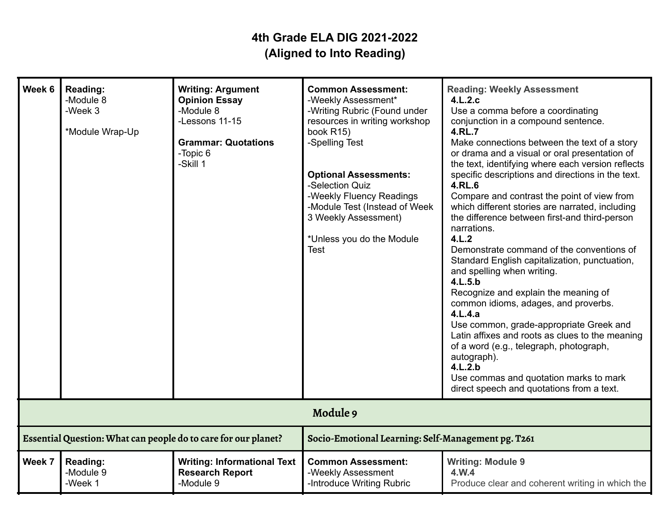| Week 6                                                         | Reading:<br>-Module 8<br>-Week 3<br>*Module Wrap-Up | <b>Writing: Argument</b><br><b>Opinion Essay</b><br>-Module 8<br>-Lessons 11-15<br><b>Grammar: Quotations</b><br>-Topic 6<br>-Skill 1 | <b>Common Assessment:</b><br>-Weekly Assessment*<br>-Writing Rubric (Found under<br>resources in writing workshop<br>book R15)<br>-Spelling Test<br><b>Optional Assessments:</b><br>-Selection Quiz<br>-Weekly Fluency Readings<br>-Module Test (Instead of Week<br>3 Weekly Assessment)<br>*Unless you do the Module<br><b>Test</b> | <b>Reading: Weekly Assessment</b><br>4.L.2.c<br>Use a comma before a coordinating<br>conjunction in a compound sentence.<br>4.RL.7<br>Make connections between the text of a story<br>or drama and a visual or oral presentation of<br>the text, identifying where each version reflects<br>specific descriptions and directions in the text.<br>4.RL.6<br>Compare and contrast the point of view from<br>which different stories are narrated, including<br>the difference between first-and third-person<br>narrations.<br>4.L.2<br>Demonstrate command of the conventions of<br>Standard English capitalization, punctuation,<br>and spelling when writing.<br>4.L.5.b<br>Recognize and explain the meaning of<br>common idioms, adages, and proverbs.<br>4.L.4.a<br>Use common, grade-appropriate Greek and<br>Latin affixes and roots as clues to the meaning<br>of a word (e.g., telegraph, photograph,<br>autograph).<br>4.L.2.b<br>Use commas and quotation marks to mark<br>direct speech and quotations from a text. |
|----------------------------------------------------------------|-----------------------------------------------------|---------------------------------------------------------------------------------------------------------------------------------------|--------------------------------------------------------------------------------------------------------------------------------------------------------------------------------------------------------------------------------------------------------------------------------------------------------------------------------------|--------------------------------------------------------------------------------------------------------------------------------------------------------------------------------------------------------------------------------------------------------------------------------------------------------------------------------------------------------------------------------------------------------------------------------------------------------------------------------------------------------------------------------------------------------------------------------------------------------------------------------------------------------------------------------------------------------------------------------------------------------------------------------------------------------------------------------------------------------------------------------------------------------------------------------------------------------------------------------------------------------------------------------|
|                                                                |                                                     |                                                                                                                                       | Module 9                                                                                                                                                                                                                                                                                                                             |                                                                                                                                                                                                                                                                                                                                                                                                                                                                                                                                                                                                                                                                                                                                                                                                                                                                                                                                                                                                                                |
| Essential Question: What can people do to care for our planet? |                                                     | Socio-Emotional Learning: Self-Management pg. T261                                                                                    |                                                                                                                                                                                                                                                                                                                                      |                                                                                                                                                                                                                                                                                                                                                                                                                                                                                                                                                                                                                                                                                                                                                                                                                                                                                                                                                                                                                                |
| Week 7                                                         | Reading:<br>-Module 9<br>-Week 1                    | <b>Writing: Informational Text</b><br><b>Research Report</b><br>-Module 9                                                             | <b>Common Assessment:</b><br>-Weekly Assessment<br>-Introduce Writing Rubric                                                                                                                                                                                                                                                         | <b>Writing: Module 9</b><br>4.W.4<br>Produce clear and coherent writing in which the                                                                                                                                                                                                                                                                                                                                                                                                                                                                                                                                                                                                                                                                                                                                                                                                                                                                                                                                           |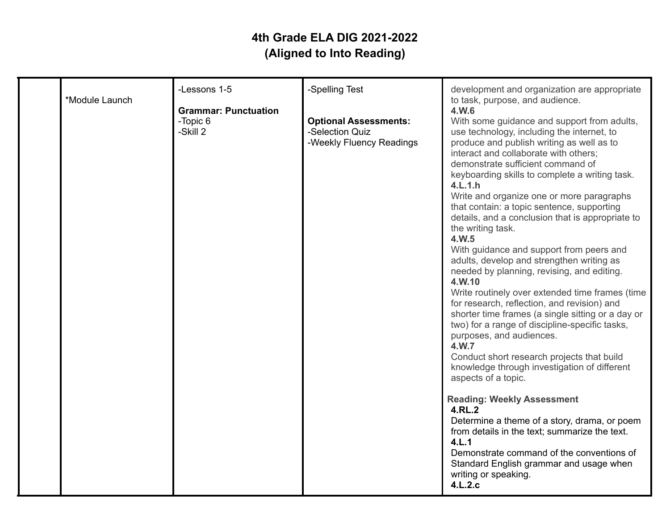|  | 4.W.6<br><b>Optional Assessments:</b><br>With some guidance and support from adults,<br>-Selection Quiz<br>use technology, including the internet, to<br>-Weekly Fluency Readings<br>produce and publish writing as well as to<br>interact and collaborate with others;<br>demonstrate sufficient command of<br>keyboarding skills to complete a writing task.<br>4.L.1.h<br>Write and organize one or more paragraphs<br>that contain: a topic sentence, supporting<br>details, and a conclusion that is appropriate to<br>the writing task.<br>4.W.5<br>With guidance and support from peers and<br>adults, develop and strengthen writing as<br>needed by planning, revising, and editing.<br>4.W.10<br>Write routinely over extended time frames (time<br>for research, reflection, and revision) and<br>shorter time frames (a single sitting or a day or<br>two) for a range of discipline-specific tasks,<br>purposes, and audiences.<br>4.W.7<br>Conduct short research projects that build<br>knowledge through investigation of different<br>aspects of a topic.<br><b>Reading: Weekly Assessment</b><br>4.RL.2<br>Determine a theme of a story, drama, or poem<br>from details in the text; summarize the text.<br>4.L.1<br>Demonstrate command of the conventions of<br>Standard English grammar and usage when<br>writing or speaking. |
|--|-----------------------------------------------------------------------------------------------------------------------------------------------------------------------------------------------------------------------------------------------------------------------------------------------------------------------------------------------------------------------------------------------------------------------------------------------------------------------------------------------------------------------------------------------------------------------------------------------------------------------------------------------------------------------------------------------------------------------------------------------------------------------------------------------------------------------------------------------------------------------------------------------------------------------------------------------------------------------------------------------------------------------------------------------------------------------------------------------------------------------------------------------------------------------------------------------------------------------------------------------------------------------------------------------------------------------------------------------------|
|--|-----------------------------------------------------------------------------------------------------------------------------------------------------------------------------------------------------------------------------------------------------------------------------------------------------------------------------------------------------------------------------------------------------------------------------------------------------------------------------------------------------------------------------------------------------------------------------------------------------------------------------------------------------------------------------------------------------------------------------------------------------------------------------------------------------------------------------------------------------------------------------------------------------------------------------------------------------------------------------------------------------------------------------------------------------------------------------------------------------------------------------------------------------------------------------------------------------------------------------------------------------------------------------------------------------------------------------------------------------|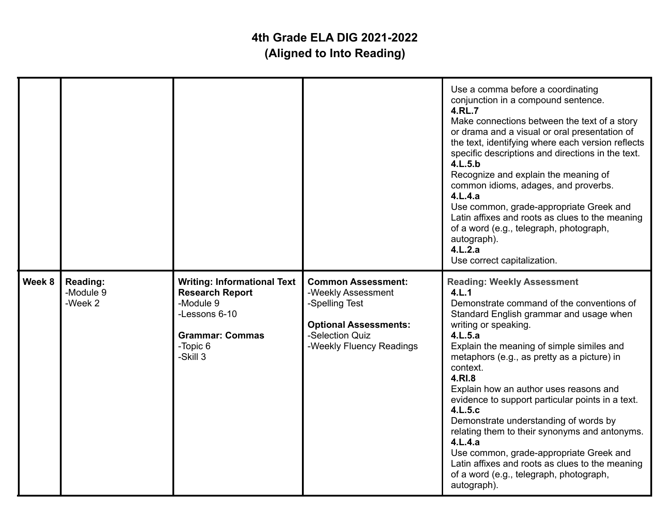|        |                                  |                                                                                                                                              |                                                                                                                                                  | Use a comma before a coordinating<br>conjunction in a compound sentence.<br><b>4.RL.7</b><br>Make connections between the text of a story<br>or drama and a visual or oral presentation of<br>the text, identifying where each version reflects<br>specific descriptions and directions in the text.<br>4.L.5.b<br>Recognize and explain the meaning of<br>common idioms, adages, and proverbs.<br>4.L.4.a<br>Use common, grade-appropriate Greek and<br>Latin affixes and roots as clues to the meaning<br>of a word (e.g., telegraph, photograph,<br>autograph).<br>4.L.2.a<br>Use correct capitalization.                                                  |
|--------|----------------------------------|----------------------------------------------------------------------------------------------------------------------------------------------|--------------------------------------------------------------------------------------------------------------------------------------------------|---------------------------------------------------------------------------------------------------------------------------------------------------------------------------------------------------------------------------------------------------------------------------------------------------------------------------------------------------------------------------------------------------------------------------------------------------------------------------------------------------------------------------------------------------------------------------------------------------------------------------------------------------------------|
| Week 8 | Reading:<br>-Module 9<br>-Week 2 | <b>Writing: Informational Text</b><br><b>Research Report</b><br>-Module 9<br>-Lessons 6-10<br><b>Grammar: Commas</b><br>-Topic 6<br>-Skill 3 | <b>Common Assessment:</b><br>-Weekly Assessment<br>-Spelling Test<br><b>Optional Assessments:</b><br>-Selection Quiz<br>-Weekly Fluency Readings | <b>Reading: Weekly Assessment</b><br>4.L.1<br>Demonstrate command of the conventions of<br>Standard English grammar and usage when<br>writing or speaking.<br>4.L.5.a<br>Explain the meaning of simple similes and<br>metaphors (e.g., as pretty as a picture) in<br>context.<br>4.RI.8<br>Explain how an author uses reasons and<br>evidence to support particular points in a text.<br>4.L.5.c<br>Demonstrate understanding of words by<br>relating them to their synonyms and antonyms.<br>4.L.4.a<br>Use common, grade-appropriate Greek and<br>Latin affixes and roots as clues to the meaning<br>of a word (e.g., telegraph, photograph,<br>autograph). |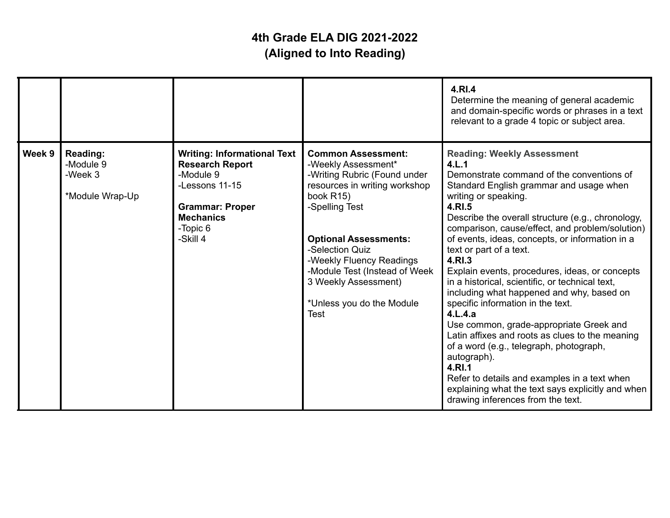|        |                                                            |                                                                                                                                                                   |                                                                                                                                                                                                                                                                                                                                      | 4.RI.4<br>Determine the meaning of general academic<br>and domain-specific words or phrases in a text<br>relevant to a grade 4 topic or subject area.                                                                                                                                                                                                                                                                                                                                                                                                                                                                                                                                                                                                                                                                                                                              |
|--------|------------------------------------------------------------|-------------------------------------------------------------------------------------------------------------------------------------------------------------------|--------------------------------------------------------------------------------------------------------------------------------------------------------------------------------------------------------------------------------------------------------------------------------------------------------------------------------------|------------------------------------------------------------------------------------------------------------------------------------------------------------------------------------------------------------------------------------------------------------------------------------------------------------------------------------------------------------------------------------------------------------------------------------------------------------------------------------------------------------------------------------------------------------------------------------------------------------------------------------------------------------------------------------------------------------------------------------------------------------------------------------------------------------------------------------------------------------------------------------|
| Week 9 | <b>Reading:</b><br>-Module 9<br>-Week 3<br>*Module Wrap-Up | <b>Writing: Informational Text</b><br><b>Research Report</b><br>-Module 9<br>-Lessons 11-15<br><b>Grammar: Proper</b><br><b>Mechanics</b><br>-Topic 6<br>-Skill 4 | <b>Common Assessment:</b><br>-Weekly Assessment*<br>-Writing Rubric (Found under<br>resources in writing workshop<br>book R15)<br>-Spelling Test<br><b>Optional Assessments:</b><br>-Selection Quiz<br>-Weekly Fluency Readings<br>-Module Test (Instead of Week<br>3 Weekly Assessment)<br>*Unless you do the Module<br><b>Test</b> | <b>Reading: Weekly Assessment</b><br>4.L.1<br>Demonstrate command of the conventions of<br>Standard English grammar and usage when<br>writing or speaking.<br>4.RI.5<br>Describe the overall structure (e.g., chronology,<br>comparison, cause/effect, and problem/solution)<br>of events, ideas, concepts, or information in a<br>text or part of a text.<br>4.RI.3<br>Explain events, procedures, ideas, or concepts<br>in a historical, scientific, or technical text,<br>including what happened and why, based on<br>specific information in the text.<br>4.L.4.a<br>Use common, grade-appropriate Greek and<br>Latin affixes and roots as clues to the meaning<br>of a word (e.g., telegraph, photograph,<br>autograph).<br>4.RI.1<br>Refer to details and examples in a text when<br>explaining what the text says explicitly and when<br>drawing inferences from the text. |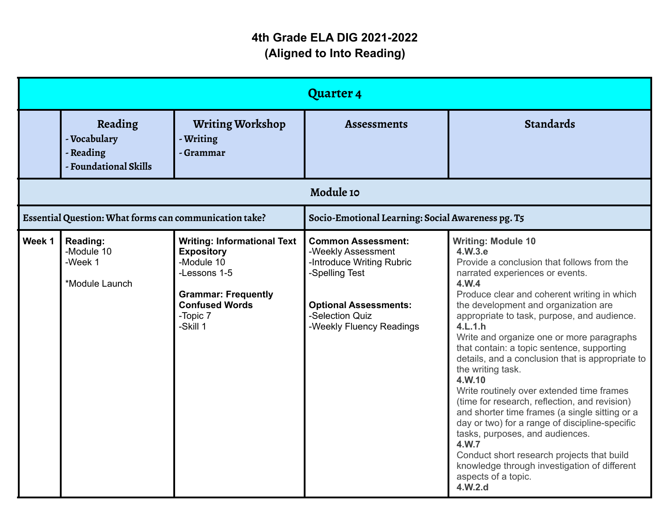|           |                                                               |                                                                                                                                                                      | <b>Quarter 4</b>                                                                                                                                                              |                                                                                                                                                                                                                                                                                                                                                                                                                                                                                                                                                                                                                                                                                                                                                                                                                                             |
|-----------|---------------------------------------------------------------|----------------------------------------------------------------------------------------------------------------------------------------------------------------------|-------------------------------------------------------------------------------------------------------------------------------------------------------------------------------|---------------------------------------------------------------------------------------------------------------------------------------------------------------------------------------------------------------------------------------------------------------------------------------------------------------------------------------------------------------------------------------------------------------------------------------------------------------------------------------------------------------------------------------------------------------------------------------------------------------------------------------------------------------------------------------------------------------------------------------------------------------------------------------------------------------------------------------------|
|           | Reading<br>- Vocabulary<br>- Reading<br>- Foundational Skills | <b>Writing Workshop</b><br>- Writing<br>- Grammar                                                                                                                    | <b>Assessments</b>                                                                                                                                                            | <b>Standards</b>                                                                                                                                                                                                                                                                                                                                                                                                                                                                                                                                                                                                                                                                                                                                                                                                                            |
| Module 10 |                                                               |                                                                                                                                                                      |                                                                                                                                                                               |                                                                                                                                                                                                                                                                                                                                                                                                                                                                                                                                                                                                                                                                                                                                                                                                                                             |
|           | Essential Question: What forms can communication take?        |                                                                                                                                                                      | Socio-Emotional Learning: Social Awareness pg. T5                                                                                                                             |                                                                                                                                                                                                                                                                                                                                                                                                                                                                                                                                                                                                                                                                                                                                                                                                                                             |
| Week 1    | Reading:<br>-Module 10<br>-Week 1<br>*Module Launch           | <b>Writing: Informational Text</b><br><b>Expository</b><br>-Module 10<br>-Lessons 1-5<br><b>Grammar: Frequently</b><br><b>Confused Words</b><br>-Topic 7<br>-Skill 1 | <b>Common Assessment:</b><br>-Weekly Assessment<br>-Introduce Writing Rubric<br>-Spelling Test<br><b>Optional Assessments:</b><br>-Selection Quiz<br>-Weekly Fluency Readings | <b>Writing: Module 10</b><br>4.W.3.e<br>Provide a conclusion that follows from the<br>narrated experiences or events.<br>4.W.4<br>Produce clear and coherent writing in which<br>the development and organization are<br>appropriate to task, purpose, and audience.<br>4.L.1.h<br>Write and organize one or more paragraphs<br>that contain: a topic sentence, supporting<br>details, and a conclusion that is appropriate to<br>the writing task.<br>4.W.10<br>Write routinely over extended time frames<br>(time for research, reflection, and revision)<br>and shorter time frames (a single sitting or a<br>day or two) for a range of discipline-specific<br>tasks, purposes, and audiences.<br>4.W.7<br>Conduct short research projects that build<br>knowledge through investigation of different<br>aspects of a topic.<br>4.W.2.d |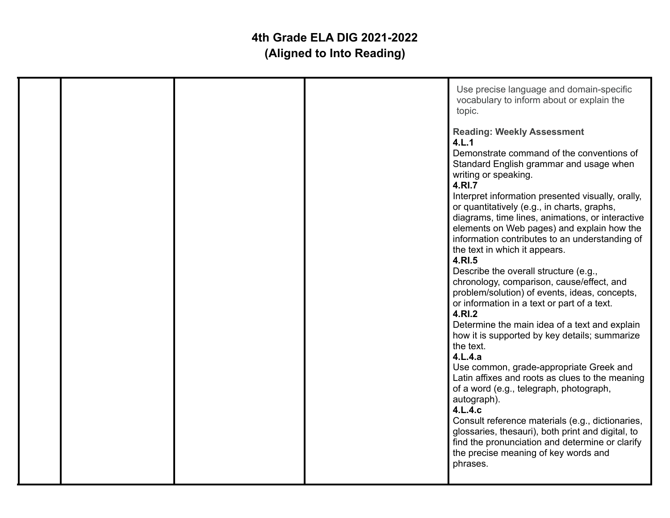|  |  | Use precise language and domain-specific<br>vocabulary to inform about or explain the<br>topic.<br><b>Reading: Weekly Assessment</b><br>4.L.1<br>Demonstrate command of the conventions of<br>Standard English grammar and usage when<br>writing or speaking.<br>4.RI.7<br>Interpret information presented visually, orally,<br>or quantitatively (e.g., in charts, graphs,<br>diagrams, time lines, animations, or interactive<br>elements on Web pages) and explain how the<br>information contributes to an understanding of<br>the text in which it appears.<br>4.RI.5<br>Describe the overall structure (e.g.,<br>chronology, comparison, cause/effect, and<br>problem/solution) of events, ideas, concepts,<br>or information in a text or part of a text.<br>4.RI.2<br>Determine the main idea of a text and explain<br>how it is supported by key details; summarize<br>the text.<br>4.L.4.a<br>Use common, grade-appropriate Greek and<br>Latin affixes and roots as clues to the meaning<br>of a word (e.g., telegraph, photograph,<br>autograph).<br>4.L.4.c<br>Consult reference materials (e.g., dictionaries,<br>glossaries, thesauri), both print and digital, to<br>find the pronunciation and determine or clarify<br>the precise meaning of key words and<br>phrases. |
|--|--|-----------------------------------------------------------------------------------------------------------------------------------------------------------------------------------------------------------------------------------------------------------------------------------------------------------------------------------------------------------------------------------------------------------------------------------------------------------------------------------------------------------------------------------------------------------------------------------------------------------------------------------------------------------------------------------------------------------------------------------------------------------------------------------------------------------------------------------------------------------------------------------------------------------------------------------------------------------------------------------------------------------------------------------------------------------------------------------------------------------------------------------------------------------------------------------------------------------------------------------------------------------------------------------------|
|  |  |                                                                                                                                                                                                                                                                                                                                                                                                                                                                                                                                                                                                                                                                                                                                                                                                                                                                                                                                                                                                                                                                                                                                                                                                                                                                                         |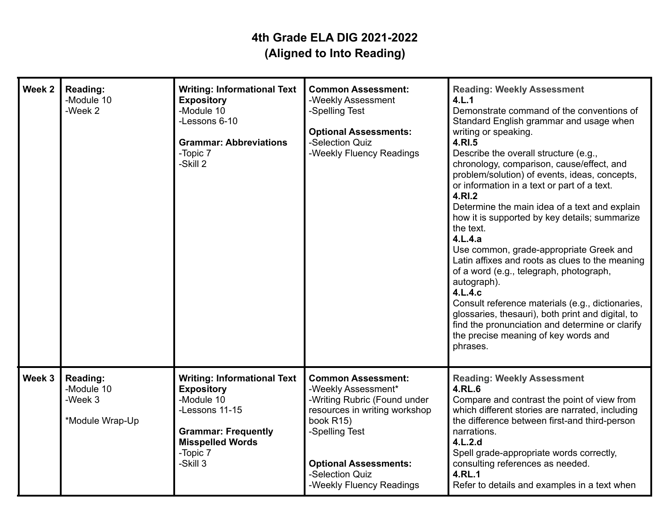| Week 2 | Reading:<br>-Module 10<br>-Week 2                    | <b>Writing: Informational Text</b><br><b>Expository</b><br>-Module 10<br>-Lessons 6-10<br><b>Grammar: Abbreviations</b><br>-Topic 7<br>-Skill 2                          | <b>Common Assessment:</b><br>-Weekly Assessment<br>-Spelling Test<br><b>Optional Assessments:</b><br>-Selection Quiz<br>-Weekly Fluency Readings                                                                                | <b>Reading: Weekly Assessment</b><br>4.L.1<br>Demonstrate command of the conventions of<br>Standard English grammar and usage when<br>writing or speaking.<br>4.RI.5<br>Describe the overall structure (e.g.,<br>chronology, comparison, cause/effect, and<br>problem/solution) of events, ideas, concepts,<br>or information in a text or part of a text.<br>4.RI.2<br>Determine the main idea of a text and explain<br>how it is supported by key details; summarize<br>the text.<br>4.L.4.a<br>Use common, grade-appropriate Greek and<br>Latin affixes and roots as clues to the meaning<br>of a word (e.g., telegraph, photograph,<br>autograph).<br>4.L.4.c<br>Consult reference materials (e.g., dictionaries,<br>glossaries, thesauri), both print and digital, to<br>find the pronunciation and determine or clarify<br>the precise meaning of key words and<br>phrases. |
|--------|------------------------------------------------------|--------------------------------------------------------------------------------------------------------------------------------------------------------------------------|---------------------------------------------------------------------------------------------------------------------------------------------------------------------------------------------------------------------------------|-----------------------------------------------------------------------------------------------------------------------------------------------------------------------------------------------------------------------------------------------------------------------------------------------------------------------------------------------------------------------------------------------------------------------------------------------------------------------------------------------------------------------------------------------------------------------------------------------------------------------------------------------------------------------------------------------------------------------------------------------------------------------------------------------------------------------------------------------------------------------------------|
| Week 3 | Reading:<br>-Module 10<br>-Week 3<br>*Module Wrap-Up | <b>Writing: Informational Text</b><br><b>Expository</b><br>-Module 10<br>-Lessons 11-15<br><b>Grammar: Frequently</b><br><b>Misspelled Words</b><br>-Topic 7<br>-Skill 3 | <b>Common Assessment:</b><br>-Weekly Assessment*<br>-Writing Rubric (Found under<br>resources in writing workshop<br>book R15)<br>-Spelling Test<br><b>Optional Assessments:</b><br>-Selection Quiz<br>-Weekly Fluency Readings | <b>Reading: Weekly Assessment</b><br>4.RL.6<br>Compare and contrast the point of view from<br>which different stories are narrated, including<br>the difference between first-and third-person<br>narrations.<br>4.L.2.d<br>Spell grade-appropriate words correctly,<br>consulting references as needed.<br><b>4.RL.1</b><br>Refer to details and examples in a text when                                                                                                                                                                                                                                                                                                                                                                                                                                                                                                         |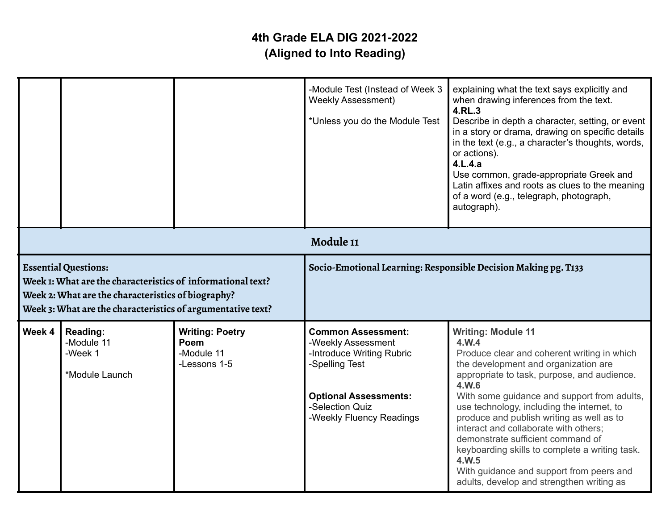|                                                                                                                                                                                                                 |                                                     |                                                                | -Module Test (Instead of Week 3<br><b>Weekly Assessment)</b><br>*Unless you do the Module Test                                                                                | explaining what the text says explicitly and<br>when drawing inferences from the text.<br>4.RL.3<br>Describe in depth a character, setting, or event<br>in a story or drama, drawing on specific details<br>in the text (e.g., a character's thoughts, words,<br>or actions).<br>4.L.4.a<br>Use common, grade-appropriate Greek and<br>Latin affixes and roots as clues to the meaning<br>of a word (e.g., telegraph, photograph,<br>autograph).                                                                                                              |
|-----------------------------------------------------------------------------------------------------------------------------------------------------------------------------------------------------------------|-----------------------------------------------------|----------------------------------------------------------------|-------------------------------------------------------------------------------------------------------------------------------------------------------------------------------|---------------------------------------------------------------------------------------------------------------------------------------------------------------------------------------------------------------------------------------------------------------------------------------------------------------------------------------------------------------------------------------------------------------------------------------------------------------------------------------------------------------------------------------------------------------|
|                                                                                                                                                                                                                 |                                                     | Module 11                                                      |                                                                                                                                                                               |                                                                                                                                                                                                                                                                                                                                                                                                                                                                                                                                                               |
| <b>Essential Questions:</b><br>Week 1: What are the characteristics of informational text?<br>Week 2: What are the characteristics of biography?<br>Week 3: What are the characteristics of argumentative text? |                                                     | Socio-Emotional Learning: Responsible Decision Making pg. T133 |                                                                                                                                                                               |                                                                                                                                                                                                                                                                                                                                                                                                                                                                                                                                                               |
| Week 4                                                                                                                                                                                                          | Reading:<br>-Module 11<br>-Week 1<br>*Module Launch | <b>Writing: Poetry</b><br>Poem<br>-Module 11<br>-Lessons 1-5   | <b>Common Assessment:</b><br>-Weekly Assessment<br>-Introduce Writing Rubric<br>-Spelling Test<br><b>Optional Assessments:</b><br>-Selection Quiz<br>-Weekly Fluency Readings | <b>Writing: Module 11</b><br>4.W.4<br>Produce clear and coherent writing in which<br>the development and organization are<br>appropriate to task, purpose, and audience.<br>4.W.6<br>With some guidance and support from adults,<br>use technology, including the internet, to<br>produce and publish writing as well as to<br>interact and collaborate with others:<br>demonstrate sufficient command of<br>keyboarding skills to complete a writing task.<br>4.W.5<br>With guidance and support from peers and<br>adults, develop and strengthen writing as |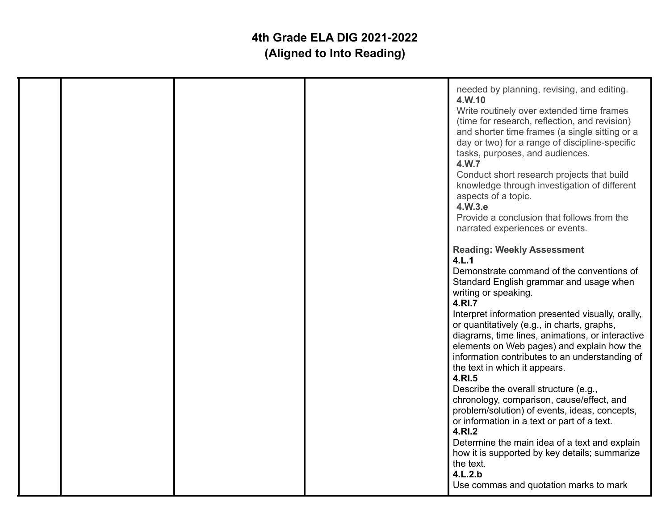|  |  | needed by planning, revising, and editing.<br>4.W.10<br>Write routinely over extended time frames<br>(time for research, reflection, and revision)<br>and shorter time frames (a single sitting or a<br>day or two) for a range of discipline-specific<br>tasks, purposes, and audiences.<br>4.W.7<br>Conduct short research projects that build<br>knowledge through investigation of different<br>aspects of a topic.<br>4.W.3.e<br>Provide a conclusion that follows from the<br>narrated experiences or events.                                                                                                                                                                                                                                                                                                                         |
|--|--|---------------------------------------------------------------------------------------------------------------------------------------------------------------------------------------------------------------------------------------------------------------------------------------------------------------------------------------------------------------------------------------------------------------------------------------------------------------------------------------------------------------------------------------------------------------------------------------------------------------------------------------------------------------------------------------------------------------------------------------------------------------------------------------------------------------------------------------------|
|  |  | <b>Reading: Weekly Assessment</b><br>4.L.1<br>Demonstrate command of the conventions of<br>Standard English grammar and usage when<br>writing or speaking.<br>4.RI.7<br>Interpret information presented visually, orally,<br>or quantitatively (e.g., in charts, graphs,<br>diagrams, time lines, animations, or interactive<br>elements on Web pages) and explain how the<br>information contributes to an understanding of<br>the text in which it appears.<br>4.RI.5<br>Describe the overall structure (e.g.,<br>chronology, comparison, cause/effect, and<br>problem/solution) of events, ideas, concepts,<br>or information in a text or part of a text.<br>4.RI.2<br>Determine the main idea of a text and explain<br>how it is supported by key details; summarize<br>the text.<br>4.L.2.b<br>Use commas and quotation marks to mark |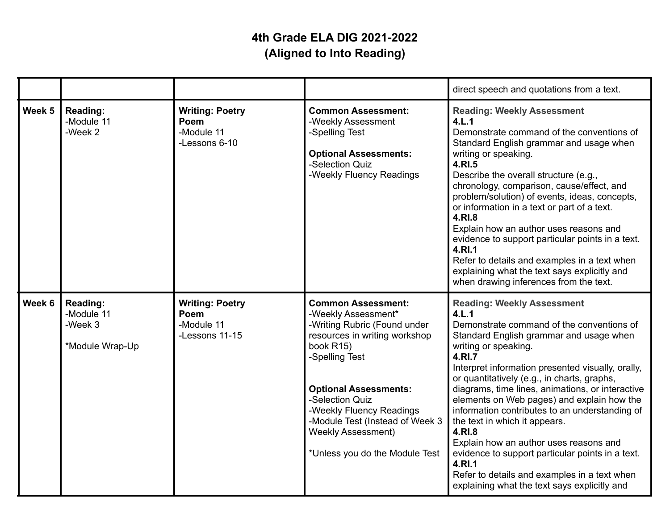|        |                                                      |                                                                |                                                                                                                                                                                                                                                                                                                                   | direct speech and quotations from a text.                                                                                                                                                                                                                                                                                                                                                                                                                                                                                                                                                                                                                                       |
|--------|------------------------------------------------------|----------------------------------------------------------------|-----------------------------------------------------------------------------------------------------------------------------------------------------------------------------------------------------------------------------------------------------------------------------------------------------------------------------------|---------------------------------------------------------------------------------------------------------------------------------------------------------------------------------------------------------------------------------------------------------------------------------------------------------------------------------------------------------------------------------------------------------------------------------------------------------------------------------------------------------------------------------------------------------------------------------------------------------------------------------------------------------------------------------|
| Week 5 | Reading:<br>-Module 11<br>-Week 2                    | <b>Writing: Poetry</b><br>Poem<br>-Module 11<br>-Lessons 6-10  | <b>Common Assessment:</b><br>-Weekly Assessment<br>-Spelling Test<br><b>Optional Assessments:</b><br>-Selection Quiz<br>-Weekly Fluency Readings                                                                                                                                                                                  | <b>Reading: Weekly Assessment</b><br>4.L.1<br>Demonstrate command of the conventions of<br>Standard English grammar and usage when<br>writing or speaking.<br>4.RI.5<br>Describe the overall structure (e.g.,<br>chronology, comparison, cause/effect, and<br>problem/solution) of events, ideas, concepts,<br>or information in a text or part of a text.<br>4.RI.8<br>Explain how an author uses reasons and<br>evidence to support particular points in a text.<br>4.RI.1<br>Refer to details and examples in a text when<br>explaining what the text says explicitly and<br>when drawing inferences from the text.                                                          |
| Week 6 | Reading:<br>-Module 11<br>-Week 3<br>*Module Wrap-Up | <b>Writing: Poetry</b><br>Poem<br>-Module 11<br>-Lessons 11-15 | <b>Common Assessment:</b><br>-Weekly Assessment*<br>-Writing Rubric (Found under<br>resources in writing workshop<br>book R15)<br>-Spelling Test<br><b>Optional Assessments:</b><br>-Selection Quiz<br>-Weekly Fluency Readings<br>-Module Test (Instead of Week 3<br><b>Weekly Assessment)</b><br>*Unless you do the Module Test | <b>Reading: Weekly Assessment</b><br>4.L.1<br>Demonstrate command of the conventions of<br>Standard English grammar and usage when<br>writing or speaking.<br>4.RI.7<br>Interpret information presented visually, orally,<br>or quantitatively (e.g., in charts, graphs,<br>diagrams, time lines, animations, or interactive<br>elements on Web pages) and explain how the<br>information contributes to an understanding of<br>the text in which it appears.<br>4.RI.8<br>Explain how an author uses reasons and<br>evidence to support particular points in a text.<br>4.RI.1<br>Refer to details and examples in a text when<br>explaining what the text says explicitly and |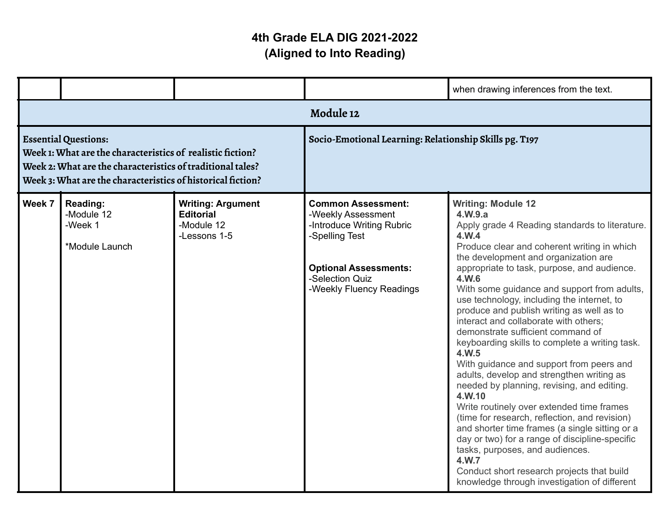|                                                                                                                                                                                                                        |                                                            |                                                                            |                                                                                                                                                                               | when drawing inferences from the text.                                                                                                                                                                                                                                                                                                                                                                                                                                                                                                                                                                                                                                                                                                                                                                                                                                                                                                                                                                                         |
|------------------------------------------------------------------------------------------------------------------------------------------------------------------------------------------------------------------------|------------------------------------------------------------|----------------------------------------------------------------------------|-------------------------------------------------------------------------------------------------------------------------------------------------------------------------------|--------------------------------------------------------------------------------------------------------------------------------------------------------------------------------------------------------------------------------------------------------------------------------------------------------------------------------------------------------------------------------------------------------------------------------------------------------------------------------------------------------------------------------------------------------------------------------------------------------------------------------------------------------------------------------------------------------------------------------------------------------------------------------------------------------------------------------------------------------------------------------------------------------------------------------------------------------------------------------------------------------------------------------|
|                                                                                                                                                                                                                        |                                                            |                                                                            | Module 12                                                                                                                                                                     |                                                                                                                                                                                                                                                                                                                                                                                                                                                                                                                                                                                                                                                                                                                                                                                                                                                                                                                                                                                                                                |
| <b>Essential Questions:</b><br>Week 1: What are the characteristics of realistic fiction?<br>Week 2: What are the characteristics of traditional tales?<br>Week 3: What are the characteristics of historical fiction? |                                                            | Socio-Emotional Learning: Relationship Skills pg. T197                     |                                                                                                                                                                               |                                                                                                                                                                                                                                                                                                                                                                                                                                                                                                                                                                                                                                                                                                                                                                                                                                                                                                                                                                                                                                |
| Week 7                                                                                                                                                                                                                 | <b>Reading:</b><br>-Module 12<br>-Week 1<br>*Module Launch | <b>Writing: Argument</b><br><b>Editorial</b><br>-Module 12<br>-Lessons 1-5 | <b>Common Assessment:</b><br>-Weekly Assessment<br>-Introduce Writing Rubric<br>-Spelling Test<br><b>Optional Assessments:</b><br>-Selection Quiz<br>-Weekly Fluency Readings | <b>Writing: Module 12</b><br>4.W.9.a<br>Apply grade 4 Reading standards to literature.<br>4.W.4<br>Produce clear and coherent writing in which<br>the development and organization are<br>appropriate to task, purpose, and audience.<br>4.W.6<br>With some guidance and support from adults,<br>use technology, including the internet, to<br>produce and publish writing as well as to<br>interact and collaborate with others;<br>demonstrate sufficient command of<br>keyboarding skills to complete a writing task.<br>4.W.5<br>With guidance and support from peers and<br>adults, develop and strengthen writing as<br>needed by planning, revising, and editing.<br>4.W.10<br>Write routinely over extended time frames<br>(time for research, reflection, and revision)<br>and shorter time frames (a single sitting or a<br>day or two) for a range of discipline-specific<br>tasks, purposes, and audiences.<br>4.W.7<br>Conduct short research projects that build<br>knowledge through investigation of different |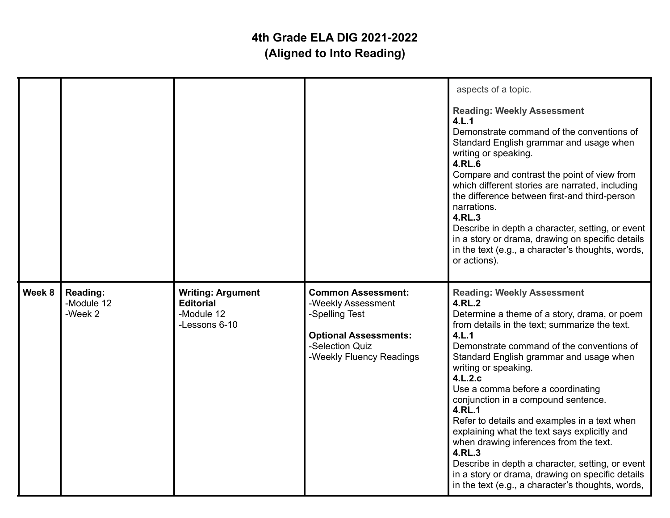|        |                                          |                                                                             |                                                                                                                                                  | aspects of a topic.<br><b>Reading: Weekly Assessment</b><br>4.L.1<br>Demonstrate command of the conventions of<br>Standard English grammar and usage when<br>writing or speaking.<br>4.RL.6<br>Compare and contrast the point of view from<br>which different stories are narrated, including<br>the difference between first-and third-person<br>narrations.<br>4.RL.3<br>Describe in depth a character, setting, or event<br>in a story or drama, drawing on specific details<br>in the text (e.g., a character's thoughts, words,<br>or actions).                                                                                                                                           |
|--------|------------------------------------------|-----------------------------------------------------------------------------|--------------------------------------------------------------------------------------------------------------------------------------------------|------------------------------------------------------------------------------------------------------------------------------------------------------------------------------------------------------------------------------------------------------------------------------------------------------------------------------------------------------------------------------------------------------------------------------------------------------------------------------------------------------------------------------------------------------------------------------------------------------------------------------------------------------------------------------------------------|
| Week 8 | <b>Reading:</b><br>-Module 12<br>-Week 2 | <b>Writing: Argument</b><br><b>Editorial</b><br>-Module 12<br>-Lessons 6-10 | <b>Common Assessment:</b><br>-Weekly Assessment<br>-Spelling Test<br><b>Optional Assessments:</b><br>-Selection Quiz<br>-Weekly Fluency Readings | <b>Reading: Weekly Assessment</b><br>4.RL.2<br>Determine a theme of a story, drama, or poem<br>from details in the text; summarize the text.<br>4.L.1<br>Demonstrate command of the conventions of<br>Standard English grammar and usage when<br>writing or speaking.<br>4.L.2.c<br>Use a comma before a coordinating<br>conjunction in a compound sentence.<br><b>4.RL.1</b><br>Refer to details and examples in a text when<br>explaining what the text says explicitly and<br>when drawing inferences from the text.<br>4.RL.3<br>Describe in depth a character, setting, or event<br>in a story or drama, drawing on specific details<br>in the text (e.g., a character's thoughts, words, |